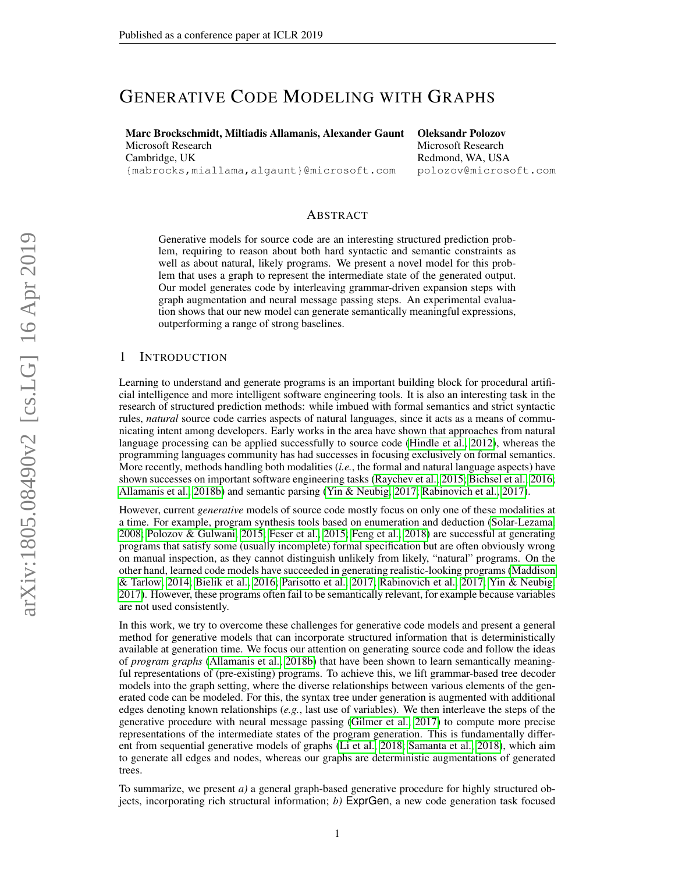# GENERATIVE CODE MODELING WITH GRAPHS

Marc Brockschmidt, Miltiadis Allamanis, Alexander Gaunt Microsoft Research Cambridge, UK

{mabrocks,miallama,algaunt}@microsoft.com

Oleksandr Polozov Microsoft Research Redmond, WA, USA polozov@microsoft.com

## ABSTRACT

Generative models for source code are an interesting structured prediction problem, requiring to reason about both hard syntactic and semantic constraints as well as about natural, likely programs. We present a novel model for this problem that uses a graph to represent the intermediate state of the generated output. Our model generates code by interleaving grammar-driven expansion steps with graph augmentation and neural message passing steps. An experimental evaluation shows that our new model can generate semantically meaningful expressions, outperforming a range of strong baselines.

#### 1 INTRODUCTION

Learning to understand and generate programs is an important building block for procedural artificial intelligence and more intelligent software engineering tools. It is also an interesting task in the research of structured prediction methods: while imbued with formal semantics and strict syntactic rules, *natural* source code carries aspects of natural languages, since it acts as a means of communicating intent among developers. Early works in the area have shown that approaches from natural language processing can be applied successfully to source code [\(Hindle et al., 2012\)](#page-9-0), whereas the programming languages community has had successes in focusing exclusively on formal semantics. More recently, methods handling both modalities (*i.e.*, the formal and natural language aspects) have shown successes on important software engineering tasks [\(Raychev et al., 2015;](#page-10-0) [Bichsel et al., 2016;](#page-9-1) [Allamanis et al., 2018b\)](#page-9-2) and semantic parsing [\(Yin & Neubig, 2017;](#page-10-1) [Rabinovich et al., 2017\)](#page-10-2).

However, current *generative* models of source code mostly focus on only one of these modalities at a time. For example, program synthesis tools based on enumeration and deduction [\(Solar-Lezama,](#page-10-3) [2008;](#page-10-3) [Polozov & Gulwani, 2015;](#page-10-4) [Feser et al., 2015;](#page-9-3) [Feng et al., 2018\)](#page-9-4) are successful at generating programs that satisfy some (usually incomplete) formal specification but are often obviously wrong on manual inspection, as they cannot distinguish unlikely from likely, "natural" programs. On the other hand, learned code models have succeeded in generating realistic-looking programs [\(Maddison](#page-9-5) [& Tarlow, 2014;](#page-9-5) [Bielik et al., 2016;](#page-9-6) [Parisotto et al., 2017;](#page-9-7) [Rabinovich et al., 2017;](#page-10-2) [Yin & Neubig,](#page-10-1) [2017\)](#page-10-1). However, these programs often fail to be semantically relevant, for example because variables are not used consistently.

In this work, we try to overcome these challenges for generative code models and present a general method for generative models that can incorporate structured information that is deterministically available at generation time. We focus our attention on generating source code and follow the ideas of *program graphs* [\(Allamanis et al., 2018b\)](#page-9-2) that have been shown to learn semantically meaningful representations of (pre-existing) programs. To achieve this, we lift grammar-based tree decoder models into the graph setting, where the diverse relationships between various elements of the generated code can be modeled. For this, the syntax tree under generation is augmented with additional edges denoting known relationships (*e.g.*, last use of variables). We then interleave the steps of the generative procedure with neural message passing [\(Gilmer et al., 2017\)](#page-9-8) to compute more precise representations of the intermediate states of the program generation. This is fundamentally different from sequential generative models of graphs [\(Li et al., 2018;](#page-9-9) [Samanta et al., 2018\)](#page-10-5), which aim to generate all edges and nodes, whereas our graphs are deterministic augmentations of generated trees.

To summarize, we present *a)* a general graph-based generative procedure for highly structured objects, incorporating rich structural information; *b)* ExprGen, a new code generation task focused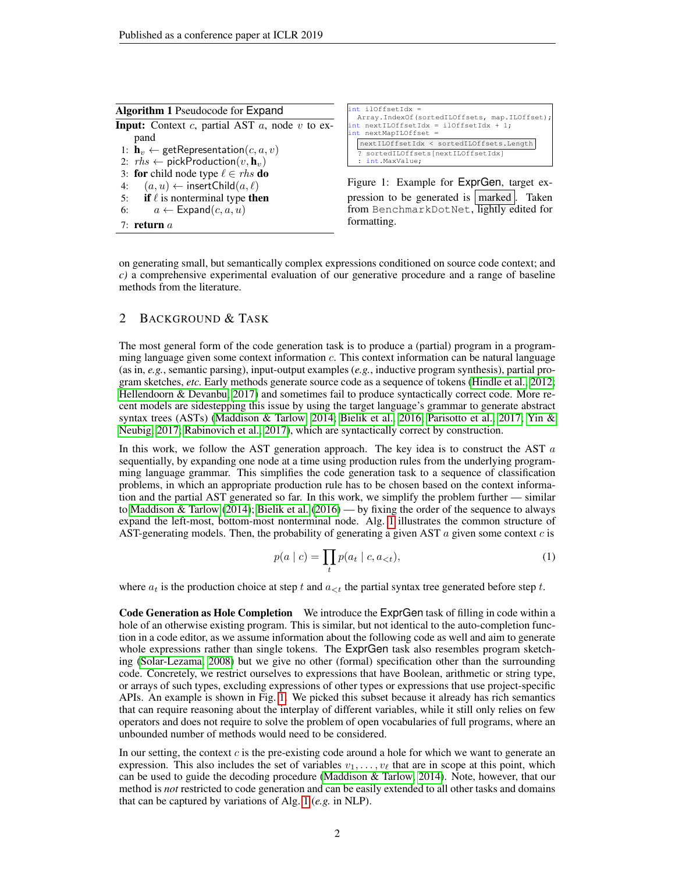<span id="page-1-0"></span>

| Algorithm 1 Pseudocode for Expand                              |  |  |  |  |  |  |  |  |
|----------------------------------------------------------------|--|--|--|--|--|--|--|--|
| <b>Input:</b> Context c, partial AST $a$ , node $v$ to ex-     |  |  |  |  |  |  |  |  |
| pand                                                           |  |  |  |  |  |  |  |  |
| 1: $\mathbf{h}_v \leftarrow \text{getRepresentation}(c, a, v)$ |  |  |  |  |  |  |  |  |
| 2: $rhs \leftarrow \text{pickProduction}(v, \mathbf{h}_v)$     |  |  |  |  |  |  |  |  |
| 3: for child node type $\ell \in \mathit{rhs}$ do              |  |  |  |  |  |  |  |  |
| $(a, u) \leftarrow$ insertChild $(a, \ell)$<br>4:              |  |  |  |  |  |  |  |  |
| <b>if</b> $\ell$ is nonterminal type <b>then</b><br>5:         |  |  |  |  |  |  |  |  |
| $a \leftarrow \textsf{Expand}(c, a, u)$<br>6:                  |  |  |  |  |  |  |  |  |
|                                                                |  |  |  |  |  |  |  |  |

7 $\cdot$  return  $\alpha$ 

int ilOffsetIdx = Array.IndexOf(sortedILOffsets, map.ILOffset); int nextILOffsetIdx = ilOffsetIdx + 1;  $nextMapILOffset =$ nextILOffsetIdx < sortedILOffsets.Length ? sortedILOffsets[nextILOffsetIdx] : int.MaxValue;

<span id="page-1-1"></span>Figure 1: Example for ExprGen, target expression to be generated is  $\vert$  marked  $\vert$ . Taken from BenchmarkDotNet, lightly edited for formatting.

on generating small, but semantically complex expressions conditioned on source code context; and *c)* a comprehensive experimental evaluation of our generative procedure and a range of baseline methods from the literature.

## <span id="page-1-2"></span>2 BACKGROUND & TASK

The most general form of the code generation task is to produce a (partial) program in a programming language given some context information  $c$ . This context information can be natural language (as in, *e.g.*, semantic parsing), input-output examples (*e.g.*, inductive program synthesis), partial program sketches, *etc.* Early methods generate source code as a sequence of tokens [\(Hindle et al., 2012;](#page-9-0) [Hellendoorn & Devanbu, 2017\)](#page-9-10) and sometimes fail to produce syntactically correct code. More recent models are sidestepping this issue by using the target language's grammar to generate abstract syntax trees (ASTs) [\(Maddison & Tarlow, 2014;](#page-9-5) [Bielik et al., 2016;](#page-9-6) [Parisotto et al., 2017;](#page-9-7) [Yin &](#page-10-1) [Neubig, 2017;](#page-10-1) [Rabinovich et al., 2017\)](#page-10-2), which are syntactically correct by construction.

In this work, we follow the AST generation approach. The key idea is to construct the AST  $a$ sequentially, by expanding one node at a time using production rules from the underlying programming language grammar. This simplifies the code generation task to a sequence of classification problems, in which an appropriate production rule has to be chosen based on the context information and the partial AST generated so far. In this work, we simplify the problem further — similar to [Maddison & Tarlow](#page-9-5) [\(2014\)](#page-9-5); [Bielik et al.](#page-9-6) [\(2016\)](#page-9-6) — by fixing the order of the sequence to always expand the left-most, bottom-most nonterminal node. Alg. [1](#page-1-0) illustrates the common structure of AST-generating models. Then, the probability of generating a given AST  $a$  given some context  $c$  is

$$
p(a \mid c) = \prod_{t} p(a_t \mid c, a_{< t}), \tag{1}
$$

where  $a_t$  is the production choice at step t and  $a_{\leq t}$  the partial syntax tree generated before step t.

Code Generation as Hole Completion We introduce the ExprGen task of filling in code within a hole of an otherwise existing program. This is similar, but not identical to the auto-completion function in a code editor, as we assume information about the following code as well and aim to generate whole expressions rather than single tokens. The ExprGen task also resembles program sketching [\(Solar-Lezama, 2008\)](#page-10-3) but we give no other (formal) specification other than the surrounding code. Concretely, we restrict ourselves to expressions that have Boolean, arithmetic or string type, or arrays of such types, excluding expressions of other types or expressions that use project-specific APIs. An example is shown in Fig. [1.](#page-1-1) We picked this subset because it already has rich semantics that can require reasoning about the interplay of different variables, while it still only relies on few operators and does not require to solve the problem of open vocabularies of full programs, where an unbounded number of methods would need to be considered.

In our setting, the context  $c$  is the pre-existing code around a hole for which we want to generate an expression. This also includes the set of variables  $v_1, \ldots, v_\ell$  that are in scope at this point, which can be used to guide the decoding procedure [\(Maddison & Tarlow, 2014\)](#page-9-5). Note, however, that our method is *not* restricted to code generation and can be easily extended to all other tasks and domains that can be captured by variations of Alg. [1](#page-1-0) (*e.g.* in NLP).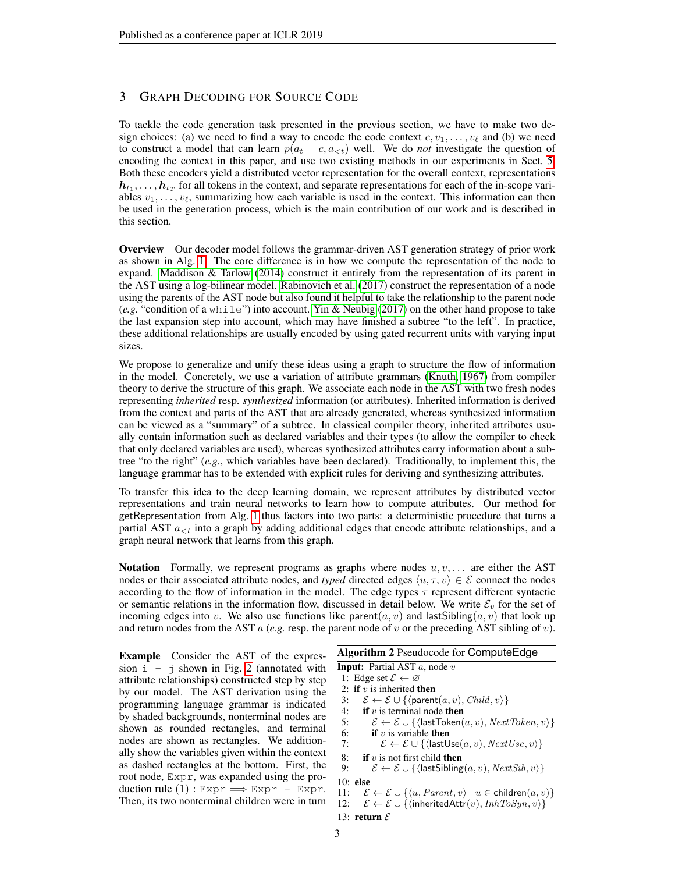# 3 GRAPH DECODING FOR SOURCE CODE

To tackle the code generation task presented in the previous section, we have to make two design choices: (a) we need to find a way to encode the code context  $c, v_1, \ldots, v_\ell$  and (b) we need to construct a model that can learn  $p(a_t | c, a_{\leq t})$  well. We do *not* investigate the question of encoding the context in this paper, and use two existing methods in our experiments in Sect. [5.](#page-6-0) Both these encoders yield a distributed vector representation for the overall context, representations  $h_{t_1}, \ldots, h_{t_T}$  for all tokens in the context, and separate representations for each of the in-scope variables  $v_1, \ldots, v_\ell$ , summarizing how each variable is used in the context. This information can then be used in the generation process, which is the main contribution of our work and is described in this section.

Overview Our decoder model follows the grammar-driven AST generation strategy of prior work as shown in Alg. [1.](#page-1-0) The core difference is in how we compute the representation of the node to expand. [Maddison & Tarlow](#page-9-5) [\(2014\)](#page-9-5) construct it entirely from the representation of its parent in the AST using a log-bilinear model. [Rabinovich et al.](#page-10-2) [\(2017\)](#page-10-2) construct the representation of a node using the parents of the AST node but also found it helpful to take the relationship to the parent node (*e.g.* "condition of a while") into account. [Yin & Neubig](#page-10-1) [\(2017\)](#page-10-1) on the other hand propose to take the last expansion step into account, which may have finished a subtree "to the left". In practice, these additional relationships are usually encoded by using gated recurrent units with varying input sizes.

We propose to generalize and unify these ideas using a graph to structure the flow of information in the model. Concretely, we use a variation of attribute grammars [\(Knuth, 1967\)](#page-9-11) from compiler theory to derive the structure of this graph. We associate each node in the AST with two fresh nodes representing *inherited* resp. *synthesized* information (or attributes). Inherited information is derived from the context and parts of the AST that are already generated, whereas synthesized information can be viewed as a "summary" of a subtree. In classical compiler theory, inherited attributes usually contain information such as declared variables and their types (to allow the compiler to check that only declared variables are used), whereas synthesized attributes carry information about a subtree "to the right" (*e.g.*, which variables have been declared). Traditionally, to implement this, the language grammar has to be extended with explicit rules for deriving and synthesizing attributes.

To transfer this idea to the deep learning domain, we represent attributes by distributed vector representations and train neural networks to learn how to compute attributes. Our method for getRepresentation from Alg. [1](#page-1-0) thus factors into two parts: a deterministic procedure that turns a partial AST  $a_{\leq t}$  into a graph by adding additional edges that encode attribute relationships, and a graph neural network that learns from this graph.

Notation Formally, we represent programs as graphs where nodes  $u, v, \ldots$  are either the AST nodes or their associated attribute nodes, and *typed* directed edges  $\langle u, \tau, v \rangle \in \mathcal{E}$  connect the nodes according to the flow of information in the model. The edge types  $\tau$  represent different syntactic or semantic relations in the information flow, discussed in detail below. We write  $\mathcal{E}_v$  for the set of incoming edges into v. We also use functions like parent $(a, v)$  and last Sibling $(a, v)$  that look up and return nodes from the AST a (*e.g.* resp. the parent node of v or the preceding AST sibling of v).

Example Consider the AST of the expression  $i - j$  shown in Fig. [2](#page-3-0) (annotated with attribute relationships) constructed step by step by our model. The AST derivation using the programming language grammar is indicated by shaded backgrounds, nonterminal nodes are shown as rounded rectangles, and terminal nodes are shown as rectangles. We additionally show the variables given within the context as dashed rectangles at the bottom. First, the root node, Expr, was expanded using the production rule  $(1)$ : Expr  $\implies$  Expr - Expr. Then, its two nonterminal children were in turn

<span id="page-2-0"></span>Algorithm 2 Pseudocode for ComputeEdge **Input:** Partial AST  $a$ , node  $v$ 1: Edge set  $\mathcal{E} \leftarrow \emptyset$ 2: if  $v$  is inherited then 3:  $\mathcal{E} \leftarrow \mathcal{E} \cup \{ \langle \text{parent}(a, v), \text{Child}, v \rangle \}$ 4: if  $v$  is terminal node then 5:  $\mathcal{E} \leftarrow \mathcal{E} \cup \{ \langle \text{lastToken}(a, v), NextToken, v \rangle \}$ 6: **if** v is variable **then** 7:  $\mathcal{E} \leftarrow \mathcal{E} \cup \{ \langle \textsf{lastUse}(a, v), NextUse, v \rangle \}$ 8: if v is not first child then<br>9:  $\mathcal{E} \leftarrow \mathcal{E} \cup \{ \text{(lastSibling)}\}$  $\mathcal{E} \leftarrow \mathcal{E} \cup \{$  (last Sibling $(a, v),$  Next $Sib, v$ )} 10: else 11:  $\mathcal{E} \leftarrow \mathcal{E} \cup \{ \langle u, Parent, v \rangle \mid u \in children(a, v) \}$ 12:  $\mathcal{E} \leftarrow \mathcal{E} \cup \{\langle \text{inheritedAttr}(v), InhToSyn, v \rangle\}$ 13: return  $\mathcal E$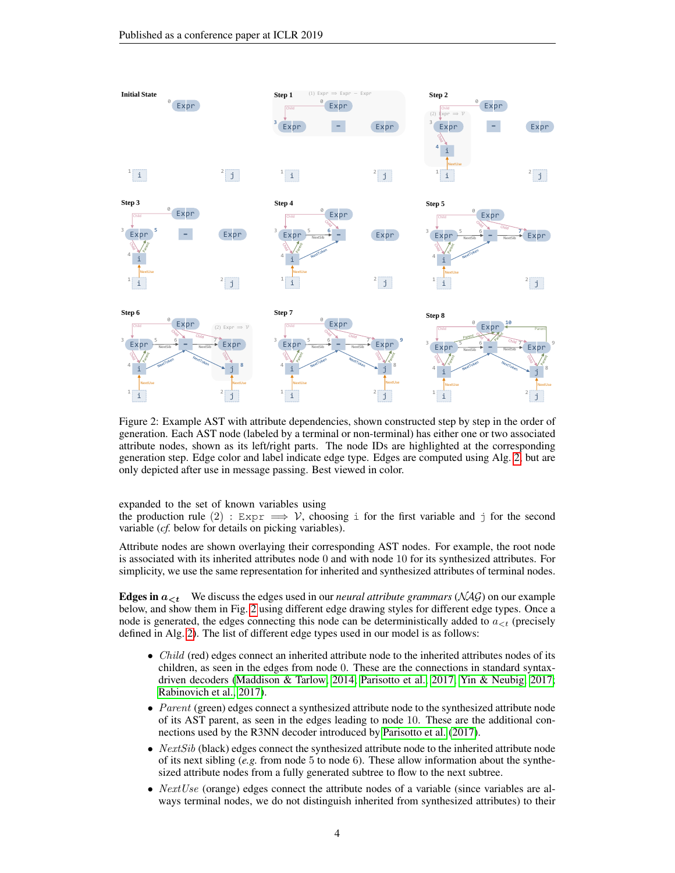

<span id="page-3-0"></span>Figure 2: Example AST with attribute dependencies, shown constructed step by step in the order of generation. Each AST node (labeled by a terminal or non-terminal) has either one or two associated attribute nodes, shown as its left/right parts. The node IDs are highlighted at the corresponding generation step. Edge color and label indicate edge type. Edges are computed using Alg. [2,](#page-2-0) but are only depicted after use in message passing. Best viewed in color.

expanded to the set of known variables using

the production rule (2) :  $Expr \implies V$ , choosing i for the first variable and j for the second variable (*cf.* below for details on picking variables).

Attribute nodes are shown overlaying their corresponding AST nodes. For example, the root node is associated with its inherited attributes node 0 and with node 10 for its synthesized attributes. For simplicity, we use the same representation for inherited and synthesized attributes of terminal nodes.

**Edges in**  $a_{\leq t}$  We discuss the edges used in our *neural attribute grammars* (NAG) on our example below, and show them in Fig. [2](#page-3-0) using different edge drawing styles for different edge types. Once a node is generated, the edges connecting this node can be deterministically added to  $a_{\lt t}$  (precisely defined in Alg. [2\)](#page-2-0). The list of different edge types used in our model is as follows:

- *Child* (red) edges connect an inherited attribute node to the inherited attributes nodes of its children, as seen in the edges from node 0. These are the connections in standard syntaxdriven decoders [\(Maddison & Tarlow, 2014;](#page-9-5) [Parisotto et al., 2017;](#page-9-7) [Yin & Neubig, 2017;](#page-10-1) [Rabinovich et al., 2017\)](#page-10-2).
- Parent (green) edges connect a synthesized attribute node to the synthesized attribute node of its AST parent, as seen in the edges leading to node 10. These are the additional connections used by the R3NN decoder introduced by [Parisotto et al.](#page-9-7) [\(2017\)](#page-9-7).
- $NextSib$  (black) edges connect the synthesized attribute node to the inherited attribute node of its next sibling  $(e.g.$  from node 5 to node 6). These allow information about the synthesized attribute nodes from a fully generated subtree to flow to the next subtree.
- *NextUse* (orange) edges connect the attribute nodes of a variable (since variables are always terminal nodes, we do not distinguish inherited from synthesized attributes) to their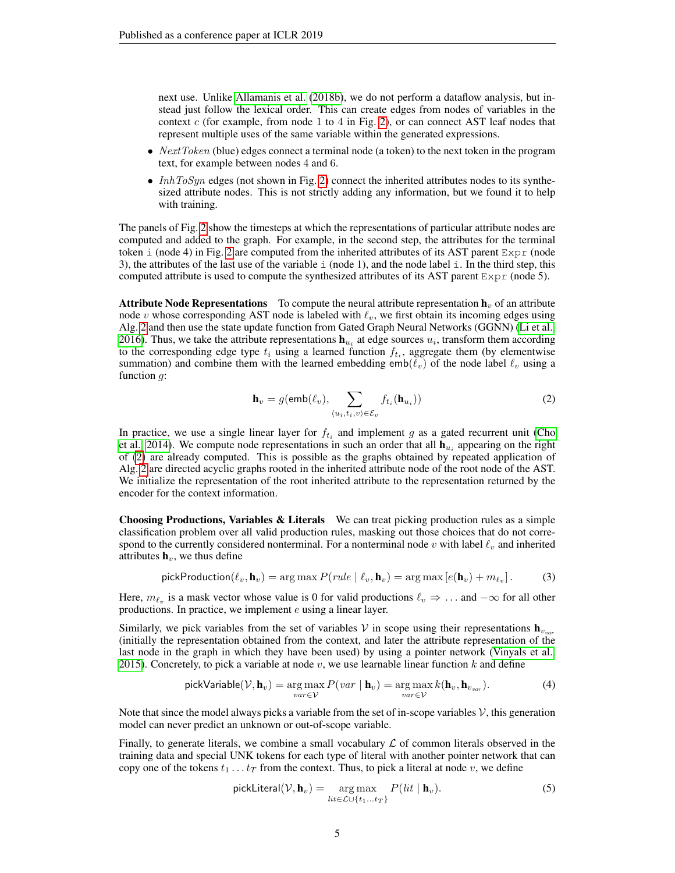next use. Unlike [Allamanis et al.](#page-9-2) [\(2018b\)](#page-9-2), we do not perform a dataflow analysis, but instead just follow the lexical order. This can create edges from nodes of variables in the context  $c$  (for example, from node 1 to 4 in Fig. [2\)](#page-3-0), or can connect AST leaf nodes that represent multiple uses of the same variable within the generated expressions.

- *NextToken* (blue) edges connect a terminal node (a token) to the next token in the program text, for example between nodes 4 and 6.
- InhToSyn edges (not shown in Fig. [2\)](#page-3-0) connect the inherited attributes nodes to its synthesized attribute nodes. This is not strictly adding any information, but we found it to help with training.

The panels of Fig. [2](#page-3-0) show the timesteps at which the representations of particular attribute nodes are computed and added to the graph. For example, in the second step, the attributes for the terminal token i (node 4) in Fig. [2](#page-3-0) are computed from the inherited attributes of its AST parent  $\text{Expr}$  (node 3), the attributes of the last use of the variable  $\pm$  (node 1), and the node label  $\pm$ . In the third step, this computed attribute is used to compute the synthesized attributes of its AST parent  $\text{Expr}$  (node 5).

**Attribute Node Representations** To compute the neural attribute representation  $h<sub>v</sub>$  of an attribute node v whose corresponding AST node is labeled with  $\ell_v$ , we first obtain its incoming edges using Alg. [2](#page-2-0) and then use the state update function from Gated Graph Neural Networks (GGNN) [\(Li et al.,](#page-9-12) [2016\)](#page-9-12). Thus, we take the attribute representations  $\mathbf{h}_{u_i}$  at edge sources  $u_i$ , transform them according to the corresponding edge type  $t_i$  using a learned function  $f_{t_i}$ , aggregate them (by elementwise summation) and combine them with the learned embedding emb $(\ell_v)$  of the node label  $\ell_v$  using a function  $g$ :

<span id="page-4-1"></span><span id="page-4-0"></span>
$$
\mathbf{h}_{v} = g(\mathsf{emb}(\ell_{v}), \sum_{\langle u_i, t_i, v \rangle \in \mathcal{E}_{v}} f_{t_i}(\mathbf{h}_{u_i}))
$$
(2)

In practice, we use a single linear layer for  $f_{t_i}$  and implement g as a gated recurrent unit [\(Cho](#page-9-13) [et al., 2014\)](#page-9-13). We compute node representations in such an order that all  $\mathbf{h}_{u_i}$  appearing on the right of [\(2\)](#page-4-0) are already computed. This is possible as the graphs obtained by repeated application of Alg. [2](#page-2-0) are directed acyclic graphs rooted in the inherited attribute node of the root node of the AST. We initialize the representation of the root inherited attribute to the representation returned by the encoder for the context information.

**Choosing Productions, Variables & Literals** We can treat picking production rules as a simple classification problem over all valid production rules, masking out those choices that do not correspond to the currently considered nonterminal. For a nonterminal node v with label  $\ell_v$  and inherited attributes  $h_v$ , we thus define

$$
\text{pickProduction}(\ell_v, \mathbf{h}_v) = \arg \max P(\text{rule} \mid \ell_v, \mathbf{h}_v) = \arg \max [e(\mathbf{h}_v) + m_{\ell_v}]. \tag{3}
$$

Here,  $m_{\ell_v}$  is a mask vector whose value is 0 for valid productions  $\ell_v \Rightarrow \dots$  and  $-\infty$  for all other productions. In practice, we implement e using a linear layer.

Similarly, we pick variables from the set of variables V in scope using their representations  $\mathbf{h}_{v_{max}}$ (initially the representation obtained from the context, and later the attribute representation of the last node in the graph in which they have been used) by using a pointer network [\(Vinyals et al.,](#page-10-6) [2015\)](#page-10-6). Concretely, to pick a variable at node  $v$ , we use learnable linear function k and define

$$
\text{pickVariable}(\mathcal{V}, \mathbf{h}_v) = \underset{var \in \mathcal{V}}{\arg \max} P(var \mid \mathbf{h}_v) = \underset{var \in \mathcal{V}}{\arg \max} k(\mathbf{h}_v, \mathbf{h}_{v_{var}}). \tag{4}
$$

Note that since the model always picks a variable from the set of in-scope variables  $\mathcal V$ , this generation model can never predict an unknown or out-of-scope variable.

Finally, to generate literals, we combine a small vocabulary  $\mathcal L$  of common literals observed in the training data and special UNK tokens for each type of literal with another pointer network that can copy one of the tokens  $t_1 \ldots t_T$  from the context. Thus, to pick a literal at node v, we define

<span id="page-4-3"></span><span id="page-4-2"></span>
$$
\text{pickLateral}(\mathcal{V}, \mathbf{h}_v) = \underset{\text{lit} \in \mathcal{L} \cup \{t_1 \dots t_T\}}{\arg \max} P(\text{lit} \mid \mathbf{h}_v). \tag{5}
$$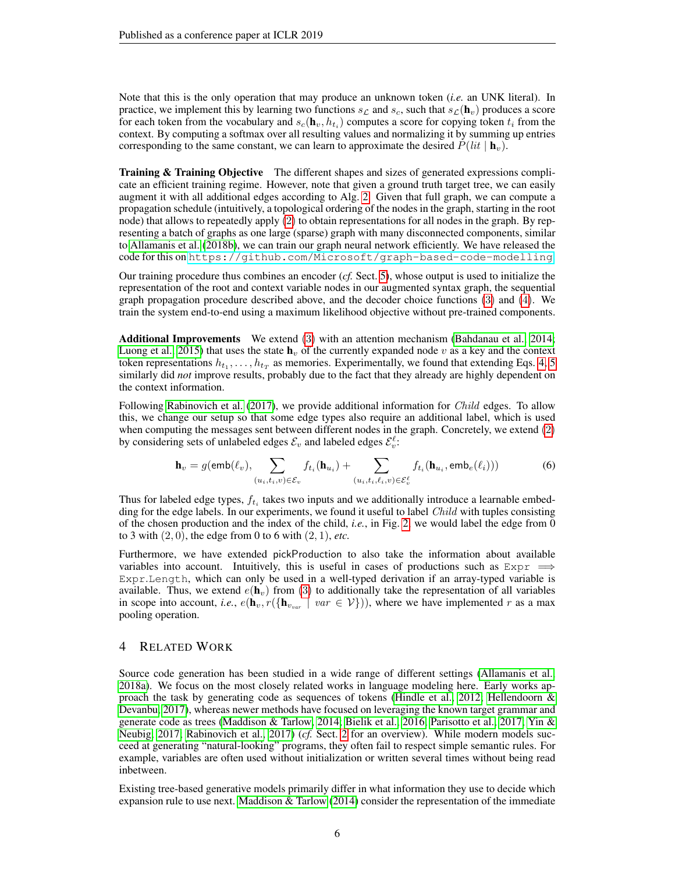Note that this is the only operation that may produce an unknown token (*i.e.* an UNK literal). In practice, we implement this by learning two functions  $s_L$  and  $s_c$ , such that  $s_L(\mathbf{h}_v)$  produces a score for each token from the vocabulary and  $s_c(\mathbf{h}_v, h_{t_i})$  computes a score for copying token  $t_i$  from the context. By computing a softmax over all resulting values and normalizing it by summing up entries corresponding to the same constant, we can learn to approximate the desired  $P(lit | \mathbf{h}_v)$ .

Training & Training Objective The different shapes and sizes of generated expressions complicate an efficient training regime. However, note that given a ground truth target tree, we can easily augment it with all additional edges according to Alg. [2.](#page-2-0) Given that full graph, we can compute a propagation schedule (intuitively, a topological ordering of the nodes in the graph, starting in the root node) that allows to repeatedly apply [\(2\)](#page-4-0) to obtain representations for all nodes in the graph. By representing a batch of graphs as one large (sparse) graph with many disconnected components, similar to [Allamanis et al.](#page-9-2) [\(2018b\)](#page-9-2), we can train our graph neural network efficiently. We have released the code for this on <https://github.com/Microsoft/graph-based-code-modelling>.

Our training procedure thus combines an encoder (*cf.* Sect. [5\)](#page-6-0), whose output is used to initialize the representation of the root and context variable nodes in our augmented syntax graph, the sequential graph propagation procedure described above, and the decoder choice functions [\(3\)](#page-4-1) and [\(4\)](#page-4-2). We train the system end-to-end using a maximum likelihood objective without pre-trained components.

Additional Improvements We extend [\(3\)](#page-4-1) with an attention mechanism [\(Bahdanau et al., 2014;](#page-9-14) [Luong et al., 2015\)](#page-9-15) that uses the state  $h_v$  of the currently expanded node v as a key and the context token representations  $h_{t_1}, \ldots, h_{t_T}$  as memories. Experimentally, we found that extending Eqs. [4,](#page-4-2) [5](#page-4-3) similarly did *not* improve results, probably due to the fact that they already are highly dependent on the context information.

Following [Rabinovich et al.](#page-10-2) [\(2017\)](#page-10-2), we provide additional information for *Child* edges. To allow this, we change our setup so that some edge types also require an additional label, which is used when computing the messages sent between different nodes in the graph. Concretely, we extend [\(2\)](#page-4-0) by considering sets of unlabeled edges  $\mathcal{E}_v$  and labeled edges  $\mathcal{E}_v^{\ell}$ :

$$
\mathbf{h}_{v} = g(\mathsf{emb}(\ell_{v}), \sum_{(u_{i}, t_{i}, v) \in \mathcal{E}_{v}} f_{t_{i}}(\mathbf{h}_{u_{i}}) + \sum_{(u_{i}, t_{i}, \ell_{i}, v) \in \mathcal{E}_{v}^{\ell}} f_{t_{i}}(\mathbf{h}_{u_{i}}, \mathsf{emb}_{e}(\ell_{i})))
$$
(6)

Thus for labeled edge types,  $f_{t_i}$  takes two inputs and we additionally introduce a learnable embedding for the edge labels. In our experiments, we found it useful to label *Child* with tuples consisting of the chosen production and the index of the child, *i.e.*, in Fig. [2,](#page-3-0) we would label the edge from 0 to 3 with  $(2, 0)$ , the edge from 0 to 6 with  $(2, 1)$ , *etc.* 

Furthermore, we have extended pickProduction to also take the information about available variables into account. Intuitively, this is useful in cases of productions such as  $Expr \implies$ Expr.Length, which can only be used in a well-typed derivation if an array-typed variable is available. Thus, we extend  $e(\mathbf{h}_v)$  from [\(3\)](#page-4-1) to additionally take the representation of all variables in scope into account, *i.e.*,  $e(\mathbf{h}_{v}, r(\{\mathbf{h}_{v_{var}} \mid var \in V\}))$ , where we have implemented r as a max pooling operation.

# 4 RELATED WORK

Source code generation has been studied in a wide range of different settings [\(Allamanis et al.,](#page-9-16) [2018a\)](#page-9-16). We focus on the most closely related works in language modeling here. Early works ap-proach the task by generating code as sequences of tokens [\(Hindle et al., 2012;](#page-9-0) Hellendoorn  $\&$ [Devanbu, 2017\)](#page-9-10), whereas newer methods have focused on leveraging the known target grammar and generate code as trees [\(Maddison & Tarlow, 2014;](#page-9-5) [Bielik et al., 2016;](#page-9-6) [Parisotto et al., 2017;](#page-9-7) [Yin &](#page-10-1) [Neubig, 2017;](#page-10-1) [Rabinovich et al., 2017\)](#page-10-2) (*cf.* Sect. [2](#page-1-2) for an overview). While modern models succeed at generating "natural-looking" programs, they often fail to respect simple semantic rules. For example, variables are often used without initialization or written several times without being read inbetween.

Existing tree-based generative models primarily differ in what information they use to decide which expansion rule to use next. [Maddison & Tarlow](#page-9-5) [\(2014\)](#page-9-5) consider the representation of the immediate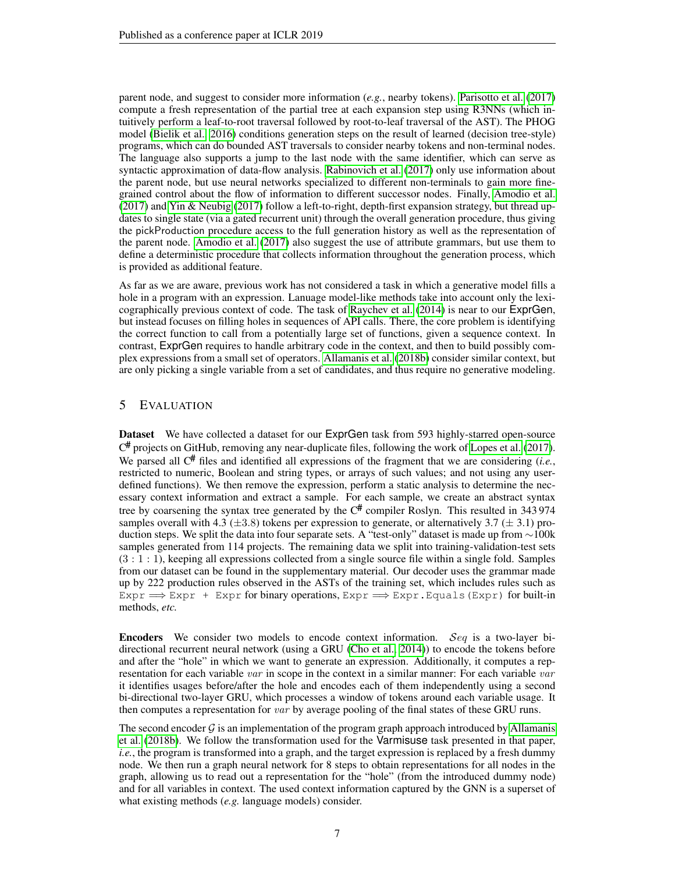parent node, and suggest to consider more information (*e.g.*, nearby tokens). [Parisotto et al.](#page-9-7) [\(2017\)](#page-9-7) compute a fresh representation of the partial tree at each expansion step using R3NNs (which intuitively perform a leaf-to-root traversal followed by root-to-leaf traversal of the AST). The PHOG model [\(Bielik et al., 2016\)](#page-9-6) conditions generation steps on the result of learned (decision tree-style) programs, which can do bounded AST traversals to consider nearby tokens and non-terminal nodes. The language also supports a jump to the last node with the same identifier, which can serve as syntactic approximation of data-flow analysis. [Rabinovich et al.](#page-10-2) [\(2017\)](#page-10-2) only use information about the parent node, but use neural networks specialized to different non-terminals to gain more finegrained control about the flow of information to different successor nodes. Finally, [Amodio et al.](#page-9-17)  $(2017)$  and [Yin & Neubig](#page-10-1)  $(2017)$  follow a left-to-right, depth-first expansion strategy, but thread updates to single state (via a gated recurrent unit) through the overall generation procedure, thus giving the pickProduction procedure access to the full generation history as well as the representation of the parent node. [Amodio et al.](#page-9-17) [\(2017\)](#page-9-17) also suggest the use of attribute grammars, but use them to define a deterministic procedure that collects information throughout the generation process, which is provided as additional feature.

As far as we are aware, previous work has not considered a task in which a generative model fills a hole in a program with an expression. Lanuage model-like methods take into account only the lexicographically previous context of code. The task of [Raychev et al.](#page-10-7) [\(2014\)](#page-10-7) is near to our ExprGen, but instead focuses on filling holes in sequences of API calls. There, the core problem is identifying the correct function to call from a potentially large set of functions, given a sequence context. In contrast, ExprGen requires to handle arbitrary code in the context, and then to build possibly complex expressions from a small set of operators. [Allamanis et al.](#page-9-2) [\(2018b\)](#page-9-2) consider similar context, but are only picking a single variable from a set of candidates, and thus require no generative modeling.

## <span id="page-6-0"></span>5 EVALUATION

Dataset We have collected a dataset for our ExprGen task from 593 highly-starred open-source C# projects on GitHub, removing any near-duplicate files, following the work of [Lopes et al.](#page-9-18) [\(2017\)](#page-9-18). We parsed all  $C^{\#}$  files and identified all expressions of the fragment that we are considering (*i.e.*, restricted to numeric, Boolean and string types, or arrays of such values; and not using any userdefined functions). We then remove the expression, perform a static analysis to determine the necessary context information and extract a sample. For each sample, we create an abstract syntax tree by coarsening the syntax tree generated by the  $C^{\#}$  compiler Roslyn. This resulted in 343 974 samples overall with 4.3 ( $\pm$ 3.8) tokens per expression to generate, or alternatively 3.7 ( $\pm$  3.1) production steps. We split the data into four separate sets. A "test-only" dataset is made up from ∼100k samples generated from 114 projects. The remaining data we split into training-validation-test sets (3 : 1 : 1), keeping all expressions collected from a single source file within a single fold. Samples from our dataset can be found in the supplementary material. Our decoder uses the grammar made up by 222 production rules observed in the ASTs of the training set, which includes rules such as Expr  $\Rightarrow$  Expr + Expr for binary operations, Expr  $\Rightarrow$  Expr. Equals (Expr) for built-in methods, *etc.*

**Encoders** We consider two models to encode context information. Seq is a two-layer bidirectional recurrent neural network (using a GRU [\(Cho et al., 2014\)](#page-9-13)) to encode the tokens before and after the "hole" in which we want to generate an expression. Additionally, it computes a representation for each variable var in scope in the context in a similar manner: For each variable var it identifies usages before/after the hole and encodes each of them independently using a second bi-directional two-layer GRU, which processes a window of tokens around each variable usage. It then computes a representation for var by average pooling of the final states of these GRU runs.

The second encoder  $\mathcal G$  is an implementation of the program graph approach introduced by [Allamanis](#page-9-2) [et al.](#page-9-2) [\(2018b\)](#page-9-2). We follow the transformation used for the Varmisuse task presented in that paper, *i.e.*, the program is transformed into a graph, and the target expression is replaced by a fresh dummy node. We then run a graph neural network for 8 steps to obtain representations for all nodes in the graph, allowing us to read out a representation for the "hole" (from the introduced dummy node) and for all variables in context. The used context information captured by the GNN is a superset of what existing methods (*e.g.* language models) consider.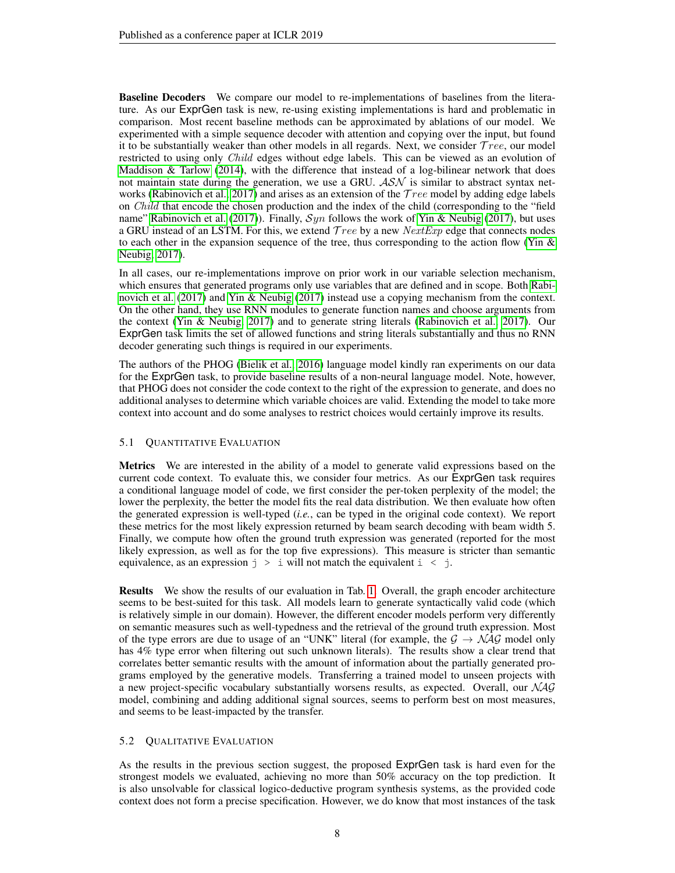Baseline Decoders We compare our model to re-implementations of baselines from the literature. As our ExprGen task is new, re-using existing implementations is hard and problematic in comparison. Most recent baseline methods can be approximated by ablations of our model. We experimented with a simple sequence decoder with attention and copying over the input, but found it to be substantially weaker than other models in all regards. Next, we consider  $Tree$ , our model restricted to using only *Child* edges without edge labels. This can be viewed as an evolution of Maddison  $\&$  Tarlow [\(2014\)](#page-9-5), with the difference that instead of a log-bilinear network that does not maintain state during the generation, we use a GRU.  $\mathcal{ASN}$  is similar to abstract syntax net-works [\(Rabinovich et al., 2017\)](#page-10-2) and arises as an extension of the  $Tree$  model by adding edge labels on Child that encode the chosen production and the index of the child (corresponding to the "field name" [Rabinovich et al.](#page-10-2) [\(2017\)](#page-10-1)). Finally,  $Syn$  follows the work of [Yin & Neubig](#page-10-1) (2017), but uses a GRU instead of an LSTM. For this, we extend  $Tree$  by a new  $NextExp$  edge that connects nodes to each other in the expansion sequence of the tree, thus corresponding to the action flow (Yin  $\&$ [Neubig, 2017\)](#page-10-1).

In all cases, our re-implementations improve on prior work in our variable selection mechanism, which ensures that generated programs only use variables that are defined and in scope. Both [Rabi](#page-10-2)[novich et al.](#page-10-2) [\(2017\)](#page-10-1) and [Yin & Neubig](#page-10-1) (2017) instead use a copying mechanism from the context. On the other hand, they use RNN modules to generate function names and choose arguments from the context [\(Yin & Neubig, 2017\)](#page-10-1) and to generate string literals [\(Rabinovich et al., 2017\)](#page-10-2). Our ExprGen task limits the set of allowed functions and string literals substantially and thus no RNN decoder generating such things is required in our experiments.

The authors of the PHOG [\(Bielik et al., 2016\)](#page-9-6) language model kindly ran experiments on our data for the ExprGen task, to provide baseline results of a non-neural language model. Note, however, that PHOG does not consider the code context to the right of the expression to generate, and does no additional analyses to determine which variable choices are valid. Extending the model to take more context into account and do some analyses to restrict choices would certainly improve its results.

#### 5.1 QUANTITATIVE EVALUATION

Metrics We are interested in the ability of a model to generate valid expressions based on the current code context. To evaluate this, we consider four metrics. As our ExprGen task requires a conditional language model of code, we first consider the per-token perplexity of the model; the lower the perplexity, the better the model fits the real data distribution. We then evaluate how often the generated expression is well-typed (*i.e.*, can be typed in the original code context). We report these metrics for the most likely expression returned by beam search decoding with beam width 5. Finally, we compute how often the ground truth expression was generated (reported for the most likely expression, as well as for the top five expressions). This measure is stricter than semantic equivalence, as an expression  $j > i$  will not match the equivalent  $i < j$ .

Results We show the results of our evaluation in Tab. [1.](#page-8-0) Overall, the graph encoder architecture seems to be best-suited for this task. All models learn to generate syntactically valid code (which is relatively simple in our domain). However, the different encoder models perform very differently on semantic measures such as well-typedness and the retrieval of the ground truth expression. Most of the type errors are due to usage of an "UNK" literal (for example, the  $\mathcal{G} \to \mathcal{N} \mathcal{A} \mathcal{G}$  model only has 4% type error when filtering out such unknown literals). The results show a clear trend that correlates better semantic results with the amount of information about the partially generated programs employed by the generative models. Transferring a trained model to unseen projects with a new project-specific vocabulary substantially worsens results, as expected. Overall, our  $NAG$ model, combining and adding additional signal sources, seems to perform best on most measures, and seems to be least-impacted by the transfer.

## 5.2 QUALITATIVE EVALUATION

As the results in the previous section suggest, the proposed ExprGen task is hard even for the strongest models we evaluated, achieving no more than 50% accuracy on the top prediction. It is also unsolvable for classical logico-deductive program synthesis systems, as the provided code context does not form a precise specification. However, we do know that most instances of the task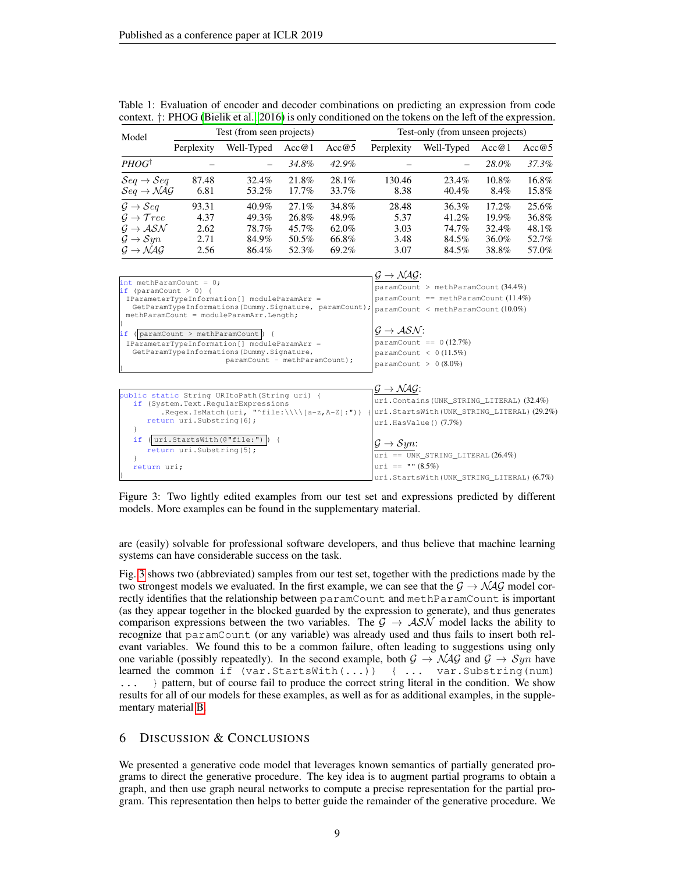| Model                                     |            | Test (from seen projects) |          |          | Test-only (from unseen projects) |            |                |          |  |  |
|-------------------------------------------|------------|---------------------------|----------|----------|----------------------------------|------------|----------------|----------|--|--|
|                                           | Perplexity | Well-Typed                | Acc@1    | Acc@5    | Perplexity                       | Well-Typed | Acc@5<br>Acc@1 |          |  |  |
| PHOG <sup>†</sup>                         |            |                           | 34.8%    | 42.9%    |                                  |            | 28.0%          | 37.3%    |  |  |
| $\mathcal{S}eq \rightarrow \mathcal{S}eq$ | 87.48      | 32.4%                     | 21.8%    | $28.1\%$ | 130.46                           | 23.4%      | 10.8%          | 16.8%    |  |  |
| $Seq \rightarrow NAG$                     | 6.81       | 53.2%                     | 17.7%    | 33.7%    | 8.38                             | 40.4%      | 8.4%           | 15.8%    |  |  |
| $\mathcal{G} \rightarrow \mathcal{S}eq$   | 93.31      | $40.9\%$                  | $27.1\%$ | 34.8%    | 28.48                            | 36.3%      | 17.2%          | $25.6\%$ |  |  |
| $\mathcal{G} \rightarrow \mathcal{T}ree$  | 4.37       | 49.3%                     | 26.8%    | 48.9%    | 5.37                             | 41.2%      | $19.9\%$       | 36.8%    |  |  |
| $G \rightarrow ASN$                       | 2.62       | 78.7%                     | 45.7%    | 62.0%    | 3.03                             | 74.7%      | 32.4%          | 48.1%    |  |  |
| $\mathcal{G} \rightarrow \mathcal{S}yn$   | 2.71       | 84.9%                     | 50.5%    | 66.8%    | 3.48                             | 84.5%      | 36.0%          | 52.7%    |  |  |
| $G \rightarrow NAG$                       | 2.56       | 86.4%                     | 52.3%    | 69.2%    | 3.07                             | 84.5%      | 38.8%          | 57.0%    |  |  |

<span id="page-8-0"></span>

| Table 1: Evaluation of encoder and decoder combinations on predicting an expression from code                    |  |  |  |  |  |
|------------------------------------------------------------------------------------------------------------------|--|--|--|--|--|
| context. $\dagger$ : PHOG (Bielik et al., 2016) is only conditioned on the tokens on the left of the expression. |  |  |  |  |  |



<span id="page-8-1"></span>Figure 3: Two lightly edited examples from our test set and expressions predicted by different models. More examples can be found in the supplementary material.

are (easily) solvable for professional software developers, and thus believe that machine learning systems can have considerable success on the task.

Fig. [3](#page-8-1) shows two (abbreviated) samples from our test set, together with the predictions made by the two strongest models we evaluated. In the first example, we can see that the  $\mathcal{G} \to \mathcal{NAG}$  model correctly identifies that the relationship between paramCount and methParamCount is important (as they appear together in the blocked guarded by the expression to generate), and thus generates comparison expressions between the two variables. The  $G \rightarrow \mathcal{ASN}$  model lacks the ability to recognize that paramCount (or any variable) was already used and thus fails to insert both relevant variables. We found this to be a common failure, often leading to suggestions using only one variable (possibly repeatedly). In the second example, both  $G \to NAG$  and  $G \to Sym$  have learned the common if (var.StartsWith(...)) { ... var.Substring(num) ... } pattern, but of course fail to produce the correct string literal in the condition. We show results for all of our models for these examples, as well as for as additional examples, in the supplementary material [B.](#page-13-0)

# 6 DISCUSSION & CONCLUSIONS

We presented a generative code model that leverages known semantics of partially generated programs to direct the generative procedure. The key idea is to augment partial programs to obtain a graph, and then use graph neural networks to compute a precise representation for the partial program. This representation then helps to better guide the remainder of the generative procedure. We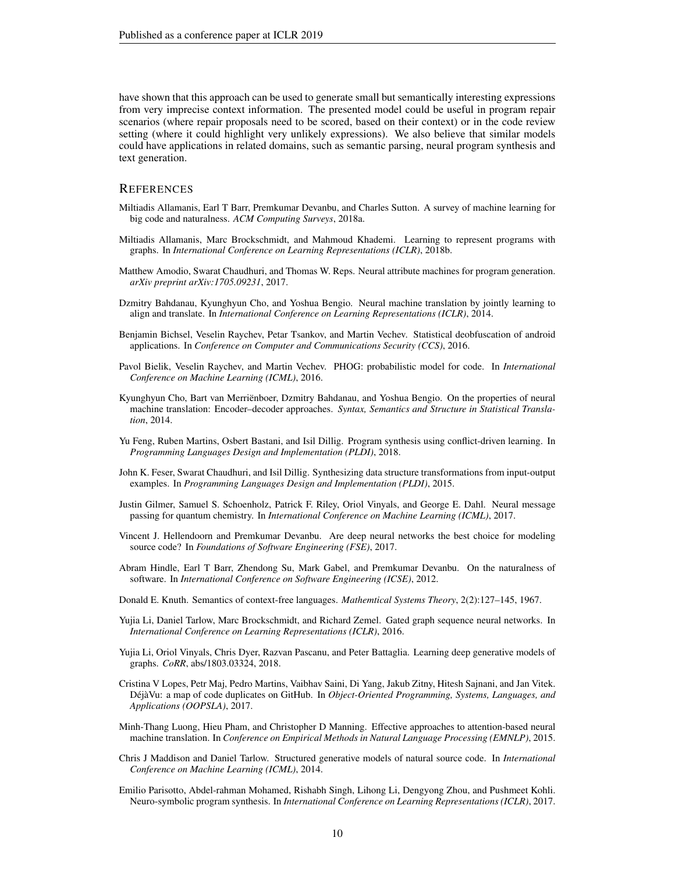have shown that this approach can be used to generate small but semantically interesting expressions from very imprecise context information. The presented model could be useful in program repair scenarios (where repair proposals need to be scored, based on their context) or in the code review setting (where it could highlight very unlikely expressions). We also believe that similar models could have applications in related domains, such as semantic parsing, neural program synthesis and text generation.

#### **REFERENCES**

- <span id="page-9-16"></span>Miltiadis Allamanis, Earl T Barr, Premkumar Devanbu, and Charles Sutton. A survey of machine learning for big code and naturalness. *ACM Computing Surveys*, 2018a.
- <span id="page-9-2"></span>Miltiadis Allamanis, Marc Brockschmidt, and Mahmoud Khademi. Learning to represent programs with graphs. In *International Conference on Learning Representations (ICLR)*, 2018b.
- <span id="page-9-17"></span>Matthew Amodio, Swarat Chaudhuri, and Thomas W. Reps. Neural attribute machines for program generation. *arXiv preprint arXiv:1705.09231*, 2017.
- <span id="page-9-14"></span>Dzmitry Bahdanau, Kyunghyun Cho, and Yoshua Bengio. Neural machine translation by jointly learning to align and translate. In *International Conference on Learning Representations (ICLR)*, 2014.
- <span id="page-9-1"></span>Benjamin Bichsel, Veselin Raychev, Petar Tsankov, and Martin Vechev. Statistical deobfuscation of android applications. In *Conference on Computer and Communications Security (CCS)*, 2016.
- <span id="page-9-6"></span>Pavol Bielik, Veselin Raychev, and Martin Vechev. PHOG: probabilistic model for code. In *International Conference on Machine Learning (ICML)*, 2016.
- <span id="page-9-13"></span>Kyunghyun Cho, Bart van Merriënboer, Dzmitry Bahdanau, and Yoshua Bengio. On the properties of neural machine translation: Encoder–decoder approaches. *Syntax, Semantics and Structure in Statistical Translation*, 2014.
- <span id="page-9-4"></span>Yu Feng, Ruben Martins, Osbert Bastani, and Isil Dillig. Program synthesis using conflict-driven learning. In *Programming Languages Design and Implementation (PLDI)*, 2018.
- <span id="page-9-3"></span>John K. Feser, Swarat Chaudhuri, and Isil Dillig. Synthesizing data structure transformations from input-output examples. In *Programming Languages Design and Implementation (PLDI)*, 2015.
- <span id="page-9-8"></span>Justin Gilmer, Samuel S. Schoenholz, Patrick F. Riley, Oriol Vinyals, and George E. Dahl. Neural message passing for quantum chemistry. In *International Conference on Machine Learning (ICML)*, 2017.
- <span id="page-9-10"></span>Vincent J. Hellendoorn and Premkumar Devanbu. Are deep neural networks the best choice for modeling source code? In *Foundations of Software Engineering (FSE)*, 2017.
- <span id="page-9-0"></span>Abram Hindle, Earl T Barr, Zhendong Su, Mark Gabel, and Premkumar Devanbu. On the naturalness of software. In *International Conference on Software Engineering (ICSE)*, 2012.
- <span id="page-9-11"></span>Donald E. Knuth. Semantics of context-free languages. *Mathemtical Systems Theory*, 2(2):127–145, 1967.
- <span id="page-9-12"></span>Yujia Li, Daniel Tarlow, Marc Brockschmidt, and Richard Zemel. Gated graph sequence neural networks. In *International Conference on Learning Representations (ICLR)*, 2016.
- <span id="page-9-9"></span>Yujia Li, Oriol Vinyals, Chris Dyer, Razvan Pascanu, and Peter Battaglia. Learning deep generative models of graphs. *CoRR*, abs/1803.03324, 2018.
- <span id="page-9-18"></span>Cristina V Lopes, Petr Maj, Pedro Martins, Vaibhav Saini, Di Yang, Jakub Zitny, Hitesh Sajnani, and Jan Vitek. DéjàVu: a map of code duplicates on GitHub. In *Object-Oriented Programming, Systems, Languages, and Applications (OOPSLA)*, 2017.
- <span id="page-9-15"></span>Minh-Thang Luong, Hieu Pham, and Christopher D Manning. Effective approaches to attention-based neural machine translation. In *Conference on Empirical Methods in Natural Language Processing (EMNLP)*, 2015.
- <span id="page-9-5"></span>Chris J Maddison and Daniel Tarlow. Structured generative models of natural source code. In *International Conference on Machine Learning (ICML)*, 2014.
- <span id="page-9-7"></span>Emilio Parisotto, Abdel-rahman Mohamed, Rishabh Singh, Lihong Li, Dengyong Zhou, and Pushmeet Kohli. Neuro-symbolic program synthesis. In *International Conference on Learning Representations (ICLR)*, 2017.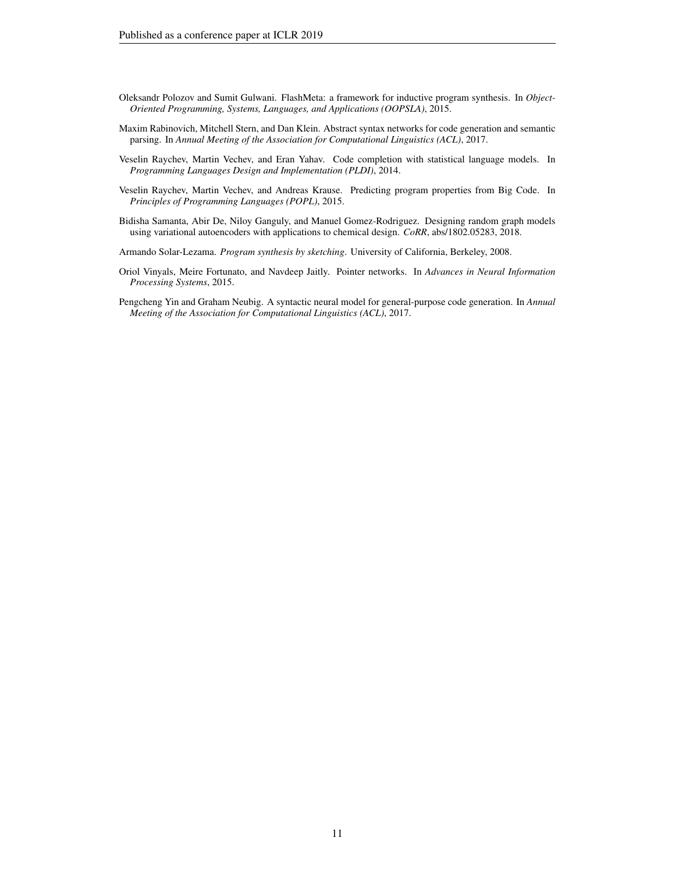- <span id="page-10-4"></span>Oleksandr Polozov and Sumit Gulwani. FlashMeta: a framework for inductive program synthesis. In *Object-Oriented Programming, Systems, Languages, and Applications (OOPSLA)*, 2015.
- <span id="page-10-2"></span>Maxim Rabinovich, Mitchell Stern, and Dan Klein. Abstract syntax networks for code generation and semantic parsing. In *Annual Meeting of the Association for Computational Linguistics (ACL)*, 2017.
- <span id="page-10-7"></span>Veselin Raychev, Martin Vechev, and Eran Yahav. Code completion with statistical language models. In *Programming Languages Design and Implementation (PLDI)*, 2014.
- <span id="page-10-0"></span>Veselin Raychev, Martin Vechev, and Andreas Krause. Predicting program properties from Big Code. In *Principles of Programming Languages (POPL)*, 2015.
- <span id="page-10-5"></span>Bidisha Samanta, Abir De, Niloy Ganguly, and Manuel Gomez-Rodriguez. Designing random graph models using variational autoencoders with applications to chemical design. *CoRR*, abs/1802.05283, 2018.

<span id="page-10-3"></span>Armando Solar-Lezama. *Program synthesis by sketching*. University of California, Berkeley, 2008.

- <span id="page-10-6"></span>Oriol Vinyals, Meire Fortunato, and Navdeep Jaitly. Pointer networks. In *Advances in Neural Information Processing Systems*, 2015.
- <span id="page-10-1"></span>Pengcheng Yin and Graham Neubig. A syntactic neural model for general-purpose code generation. In *Annual Meeting of the Association for Computational Linguistics (ACL)*, 2017.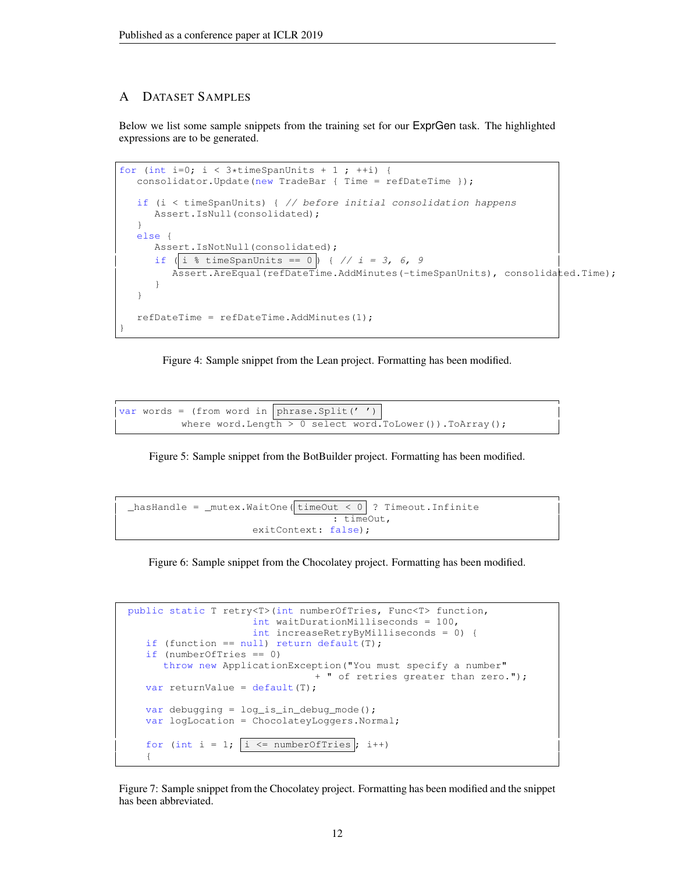# A DATASET SAMPLES

Below we list some sample snippets from the training set for our ExprGen task. The highlighted expressions are to be generated.

```
for (int i=0; i < 3*timeSpanUnits + 1; ++i) {
  consolidator.Update(new TradeBar { Time = refDateTime });
  if (i < timeSpanUnits) { // before initial consolidation happens
     Assert.IsNull(consolidated);
   }
  else {
     Assert.IsNotNull(consolidated);
     if (|i \t{s} timeSpanUnits == 0 | { // i = 3, 6, 9
        Assert.AreEqual(refDateTime.AddMinutes(-timeSpanUnits), consolidated.Time);
      }
  }
  refDateTime = refDateTime.AddMinutes(1);
}
```
Figure 4: Sample snippet from the Lean project. Formatting has been modified.

```
var words = (from word in phrase.Split('')
          where word.Length > 0 select word.ToLower()).ToArray();
```
Figure 5: Sample snippet from the BotBuilder project. Formatting has been modified.

```
\_hasHandle = \_mutex.WaitOne( timeOut < 0 | ? Timeout.Infinite
                                    : timeOut,
                      exitContext: false);
```
Figure 6: Sample snippet from the Chocolatey project. Formatting has been modified.

```
public static T retry<T>(int numberOfTries, Func<T> function,
                     int waitDurationMilliseconds = 100,
                     int increaseRetryByMilliseconds = 0) {
  if (function == null) return default(T);
  if (numberOfTries == 0)
     throw new ApplicationException("You must specify a number"
                               + " of retries greater than zero.");
  var returnValue = default(T);
  var debugging = log_is_in_debug_mode();
  var logLocation = ChocolateyLoggers.Normal;
   for (int i = 1; |i \leq numberOfTries ; i++)
   {
```
Figure 7: Sample snippet from the Chocolatey project. Formatting has been modified and the snippet has been abbreviated.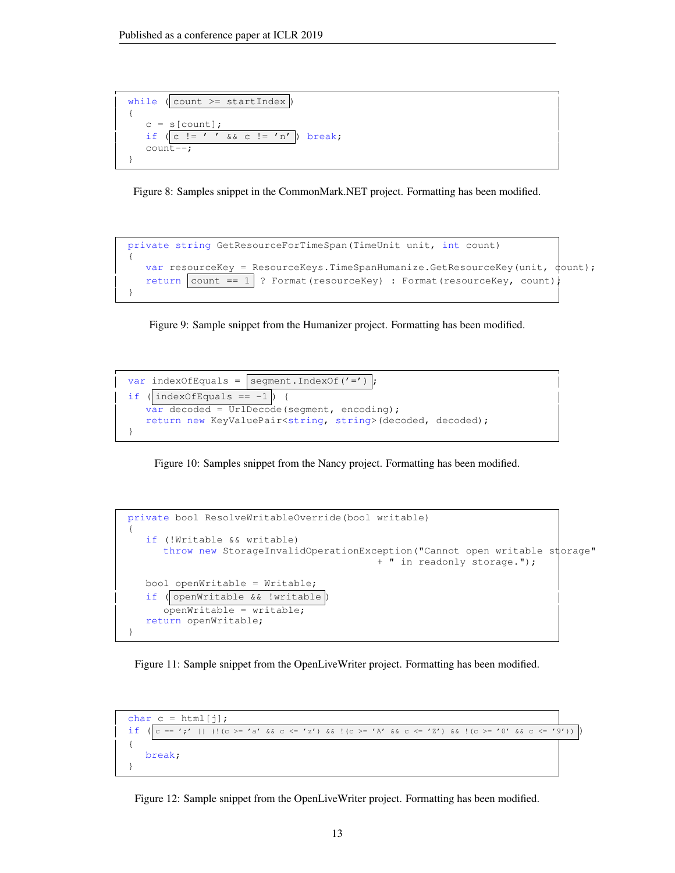

Figure 8: Samples snippet in the CommonMark.NET project. Formatting has been modified.

```
private string GetResourceForTimeSpan(TimeUnit unit, int count)
{
   var resourceKey = ResourceKeys.TimeSpanHumanize.GetResourceKey(unit, \phiount);
   return count == 1 \mid ? Format(resourceKey) : Format(resourceKey, count);
}
```
Figure 9: Sample snippet from the Humanizer project. Formatting has been modified.



Figure 10: Samples snippet from the Nancy project. Formatting has been modified.

```
private bool ResolveWritableOverride(bool writable)
{
   if (!Writable && writable)
      throw new StorageInvalidOperationException("Cannot open writable storage"
                                           + " in readonly storage.");
  bool openWritable = Writable;
   if ( openWritable && !writable )
      openWritable = writable;
   return openWritable;
}
```
Figure 11: Sample snippet from the OpenLiveWriter project. Formatting has been modified.

```
char c = \text{html}[j];if (|c == ';' | | (|c == 'a' \& c <= 'z') \& (|c >= 'A' \& c <= 'z') \& (|c >= '0' \& c <= '9') ){
   break;
}
```
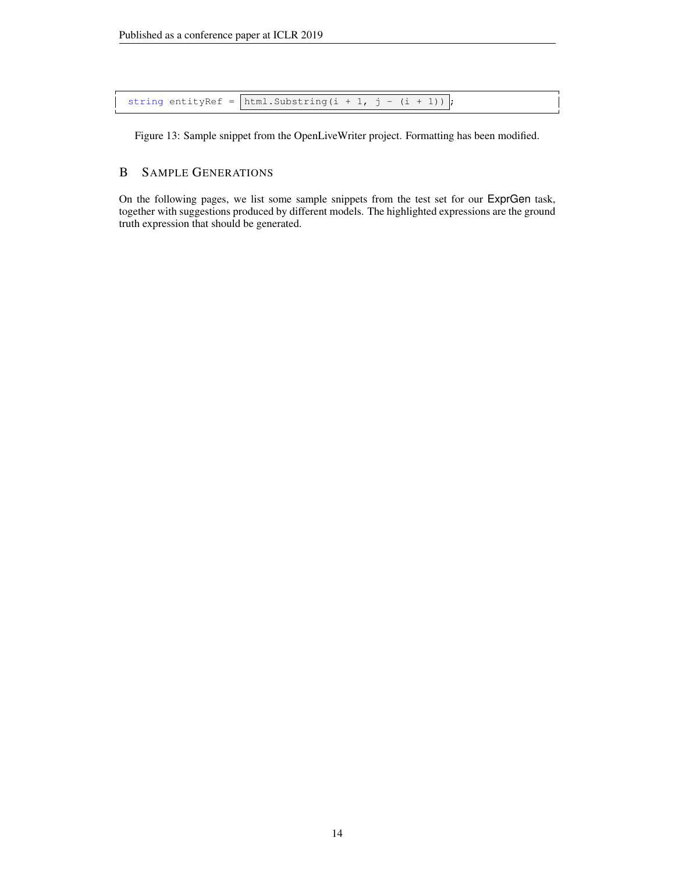string entityRef =  $\vert$ html.Substring(i + 1, j - (i + 1))  $\vert$ ;

Figure 13: Sample snippet from the OpenLiveWriter project. Formatting has been modified.

# <span id="page-13-0"></span>B SAMPLE GENERATIONS

On the following pages, we list some sample snippets from the test set for our ExprGen task, together with suggestions produced by different models. The highlighted expressions are the ground truth expression that should be generated.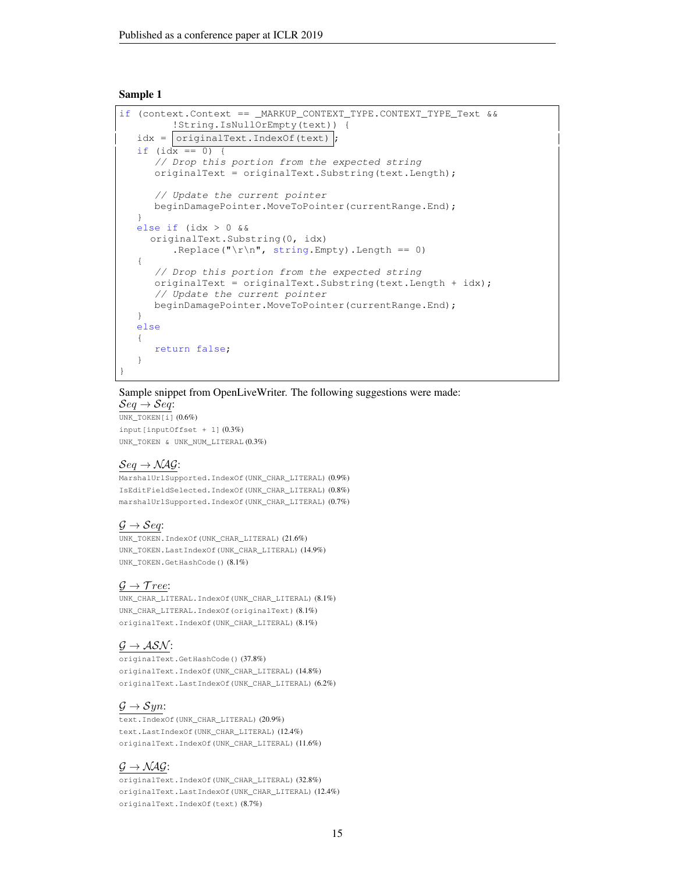```
if (context.Context == MARKUP CONTEXT TYPE.CONTEXT TYPE Text &&
         !String.IsNullOrEmpty(text)) {
   idx = \text{originalText}.IndexOf(text)if (idx == 0) {
      // Drop this portion from the expected string
      originalText = originalText.Substring(text.Length);
      // Update the current pointer
     beginDamagePointer.MoveToPointer(currentRange.End);
   }
  else if (idx > 0 &&
     originalText.Substring(0, idx)
         .Replace("\r\n", string.Empty).Length == 0)
   {
      // Drop this portion from the expected string
     originalText = originalText.Substring(text.Length + idx);
      // Update the current pointer
     beginDamagePointer.MoveToPointer(currentRange.End);
   }
  else
   {
      return false;
   }
}
```
#### Sample snippet from OpenLiveWriter. The following suggestions were made:  $\mathcal{S}eq \rightarrow \mathcal{S}eq$ :

UNK\_TOKEN[i] (0.6%) input[inputOffset + 1] (0.3%)

UNK\_TOKEN & UNK\_NUM\_LITERAL (0.3%)

# $Seq \rightarrow NAG$ :

MarshalUrlSupported.IndexOf(UNK\_CHAR\_LITERAL) (0.9%) IsEditFieldSelected.IndexOf(UNK\_CHAR\_LITERAL) (0.8%) marshalUrlSupported.IndexOf(UNK\_CHAR\_LITERAL) (0.7%)

# $\mathcal{G} \rightarrow \mathcal{S}eq$ :

UNK\_TOKEN.IndexOf(UNK\_CHAR\_LITERAL) (21.6%) UNK\_TOKEN.LastIndexOf(UNK\_CHAR\_LITERAL) (14.9%) UNK\_TOKEN.GetHashCode() (8.1%)

## $\mathcal{G} \rightarrow \mathcal{T}ree$ :

UNK\_CHAR\_LITERAL.IndexOf(UNK\_CHAR\_LITERAL) (8.1%) UNK\_CHAR\_LITERAL.IndexOf(originalText) (8.1%) originalText.IndexOf(UNK\_CHAR\_LITERAL) (8.1%)

## $\mathcal{G} \rightarrow \mathcal{ASN}$ :

originalText.GetHashCode() (37.8%) originalText.IndexOf(UNK\_CHAR\_LITERAL) (14.8%) originalText.LastIndexOf(UNK\_CHAR\_LITERAL) (6.2%)

# $\mathcal{G} \rightarrow \mathcal{S}yn$ :

text.IndexOf(UNK\_CHAR\_LITERAL) (20.9%) text.LastIndexOf(UNK\_CHAR\_LITERAL) (12.4%) originalText.IndexOf(UNK\_CHAR\_LITERAL) (11.6%)

## $\mathcal{G} \rightarrow \mathcal{NAG}$ :

originalText.IndexOf(UNK\_CHAR\_LITERAL) (32.8%) originalText.LastIndexOf(UNK\_CHAR\_LITERAL) (12.4%) originalText.IndexOf(text) (8.7%)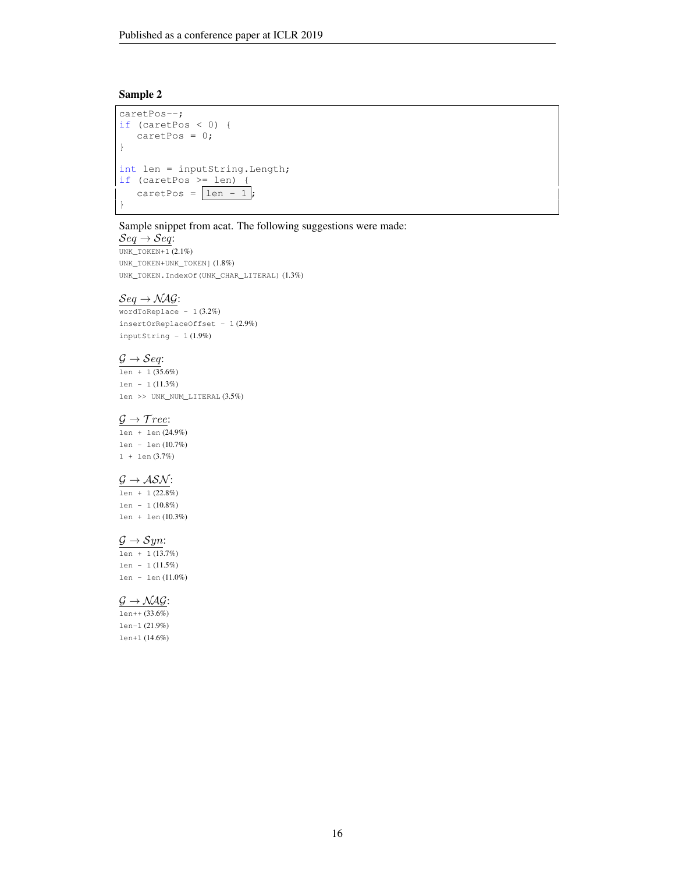```
caretPos--;
if (caretPos < 0) {
   caretPos = 0;}
int len = inputString.Length;
if (caretPos >= len) {
   caretPos = \boxed{len - 1};
}
```
#### Sample snippet from acat. The following suggestions were made:

 $Seq \rightarrow Seq$ : UNK\_TOKEN+1 (2.1%) UNK\_TOKEN+UNK\_TOKEN] (1.8%) UNK\_TOKEN.IndexOf(UNK\_CHAR\_LITERAL) (1.3%)

### $\mathcal{S}eq \rightarrow \mathcal{N} \mathcal{A} \mathcal{G}$ :

 $wordToReplace - 1 (3.2%)$ insertOrReplaceOffset - 1 (2.9%) inputString  $-1(1.9%)$ 

## $\mathcal{G} \rightarrow \mathcal{S}eq$ :

 $\frac{1}{1en + 1(35.6\%)}$ len - 1 (11.3%) len >> UNK NUM LITERAL  $(3.5\%)$ 

## $\mathcal{G} \rightarrow \mathcal{T}ree$ :

len + len (24.9%) len - len (10.7%) 1 + len (3.7%)

## $\mathcal{G} \rightarrow \mathcal{ASN}$ :

 $len + 1 (22.8%)$ len - 1 (10.8%) len + len (10.3%)

# $\mathcal{G} \rightarrow \mathcal{S}yn$ :

 $\frac{1}{1 \text{ en } + 1 (13.7\%)}$ len - 1 (11.5%) len - len (11.0%)

# $\mathcal{G} \rightarrow \mathcal{NAG}$ :

 $l_{en++}$  (33.6%) len-1 (21.9%) len+1 (14.6%)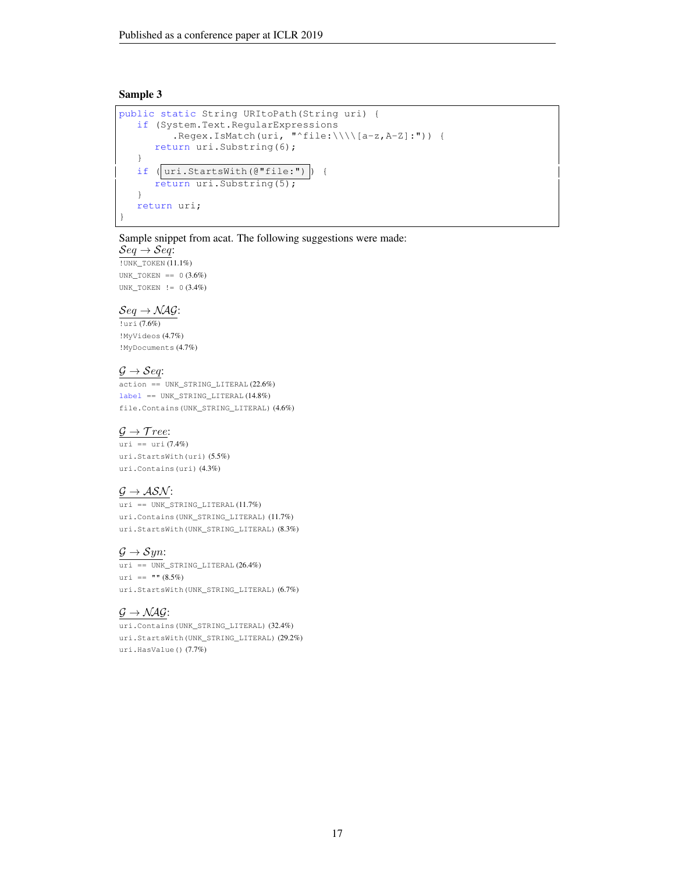```
public static String URItoPath(String uri) {
  if (System.Text.RegularExpressions
         .Regex.IsMatch(uri, "^file:\\\\[a-z,A-Z]:")) {
      return uri.Substring(6);
   }
  if (|uri.startsWith(\theta"file;"))| {
      return uri.Substring(5);
   }
   return uri;
}
```
### Sample snippet from acat. The following suggestions were made:

 $\mathcal{S}eq \rightarrow \mathcal{S}eq$ : !UNK\_TOKEN (11.1%)

UNK\_TOKEN ==  $0 (3.6%)$ UNK\_TOKEN != 0 (3.4%)

## $Seq \rightarrow NAG$ :

!uri (7.6%) !MyVideos (4.7%) !MyDocuments (4.7%)

# $\mathcal{G} \rightarrow \mathcal{S}eq$ :

action == UNK\_STRING\_LITERAL (22.6%) label == UNK\_STRING\_LITERAL (14.8%) file.Contains(UNK\_STRING\_LITERAL) (4.6%)

# $\mathcal{G} \rightarrow \mathcal{T}ree$ :

uri == uri (7.4%) uri.StartsWith(uri) (5.5%) uri.Contains(uri) (4.3%)

# $\mathcal{G} \rightarrow \mathcal{ASN}$ :

uri == UNK\_STRING\_LITERAL (11.7%) uri.Contains(UNK\_STRING\_LITERAL) (11.7%) uri.StartsWith(UNK\_STRING\_LITERAL) (8.3%)

# $\mathcal{G} \rightarrow \mathcal{S}yn$ :

 $uri == UNK_STRING_LITERAL (26.4%)$ uri ==  $" " (8.5%)$ uri.StartsWith(UNK\_STRING\_LITERAL) (6.7%)

# $\mathcal{G} \rightarrow \mathcal{NAG}$ :

uri.Contains(UNK\_STRING\_LITERAL) (32.4%) uri.StartsWith(UNK\_STRING\_LITERAL) (29.2%) uri.HasValue() (7.7%)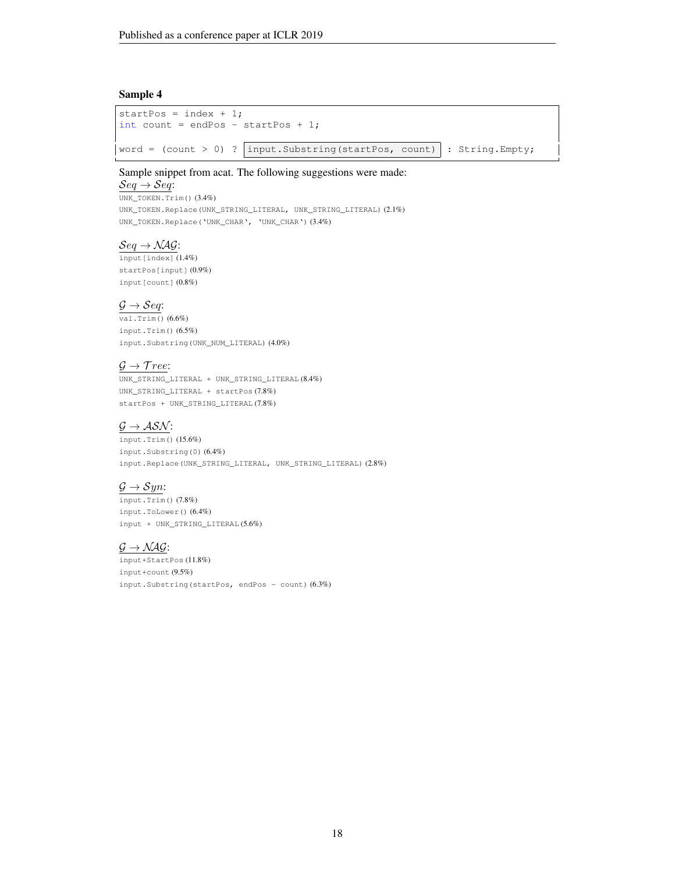```
startPos = index + 1;
int count = endPos - startPos + 1;
word = \text{(count} > 0) ? | input. Substring (startPos, count) | : String. Empty;
```
## Sample snippet from acat. The following suggestions were made:

 $\mathcal{S}eq \rightarrow \mathcal{S}eq$ : UNK\_TOKEN.Trim() (3.4%) UNK\_TOKEN.Replace(UNK\_STRING\_LITERAL, UNK\_STRING\_LITERAL) (2.1%) UNK\_TOKEN.Replace('UNK\_CHAR', 'UNK\_CHAR') (3.4%)

# $\mathcal{S}eq \rightarrow \mathcal{N} \mathcal{A} \mathcal{G}$ :

 $\overline{\text{input}[\text{index}](1.4\%)}$ startPos[input] (0.9%) input[count] (0.8%)

### $\mathcal{G} \rightarrow \mathcal{S}eq:$

 $\overline{\text{val.Trim(}})$  (6.6%) input.Trim() (6.5%) input.Substring(UNK\_NUM\_LITERAL) (4.0%)

## $\mathcal{G} \rightarrow \mathcal{T}$ ree:

UNK\_STRING\_LITERAL + UNK\_STRING\_LITERAL (8.4%) UNK\_STRING\_LITERAL + startPos (7.8%) startPos + UNK\_STRING\_LITERAL (7.8%)

# $\mathcal{G} \rightarrow \mathcal{ASN}$ :

input.Trim() (15.6%) input.Substring(0) (6.4%) input.Replace(UNK\_STRING\_LITERAL, UNK\_STRING\_LITERAL) (2.8%)

## $\mathcal{G} \rightarrow \mathcal{S}yn$ :

input.Trim() (7.8%) input.ToLower() (6.4%) input + UNK\_STRING\_LITERAL (5.6%)

## $\mathcal{G} \rightarrow \mathcal{NAG}$ :

input+StartPos (11.8%) input+count (9.5%) input.Substring(startPos, endPos - count) (6.3%)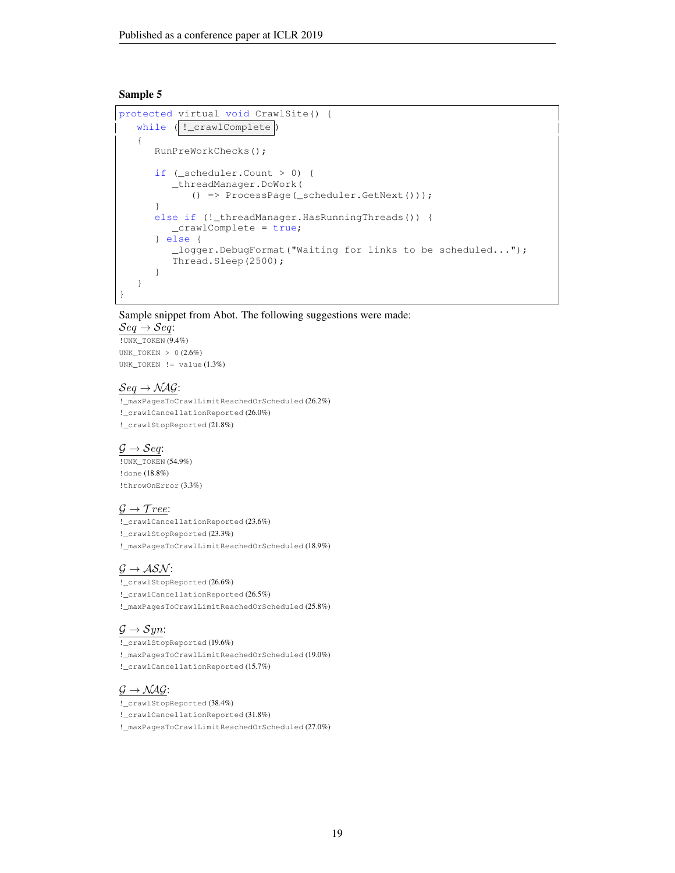```
protected virtual void CrawlSite() {
   while ( !_crawlComplete)
   {
      RunPreWorkChecks();
      if (_scheduler.Count > 0) {
         _threadManager.DoWork(
            () => ProcessPage(_scheduler.GetNext()));
      }
      else if (!_threadManager.HasRunningThreads()) {
         _crawlComplete = true;
      } else {
         _logger.DebugFormat("Waiting for links to be scheduled...");
         Thread.Sleep(2500);
      }
   }
}
```
Sample snippet from Abot. The following suggestions were made:

 $\mathcal{S}eq \rightarrow \mathcal{S}eq$ : !UNK\_TOKEN (9.4%) UNK\_TOKEN > 0 (2.6%) UNK\_TOKEN != value (1.3%)

## $Seq \rightarrow NAG$ :

!\_maxPagesToCrawlLimitReachedOrScheduled (26.2%) !\_crawlCancellationReported (26.0%) !\_crawlStopReported (21.8%)

#### $\mathcal{G} \rightarrow \mathcal{S}eq$ :

!UNK\_TOKEN (54.9%) !done (18.8%) !throwOnError (3.3%)

# $\mathcal{G} \rightarrow \mathcal{T}ree$ :

!\_crawlCancellationReported (23.6%) !\_crawlStopReported (23.3%) !\_maxPagesToCrawlLimitReachedOrScheduled (18.9%)

## $\mathcal{G} \rightarrow \mathcal{ASN}$ :

!\_crawlStopReported (26.6%) !\_crawlCancellationReported (26.5%) !\_maxPagesToCrawlLimitReachedOrScheduled (25.8%)

## $\mathcal{G} \rightarrow \mathcal{S}yn$ :

!\_crawlStopReported (19.6%) !\_maxPagesToCrawlLimitReachedOrScheduled (19.0%) !\_crawlCancellationReported (15.7%)

# $\mathcal{G} \rightarrow \mathcal{NAG}$ :

!\_crawlStopReported (38.4%) !\_crawlCancellationReported (31.8%) !\_maxPagesToCrawlLimitReachedOrScheduled (27.0%)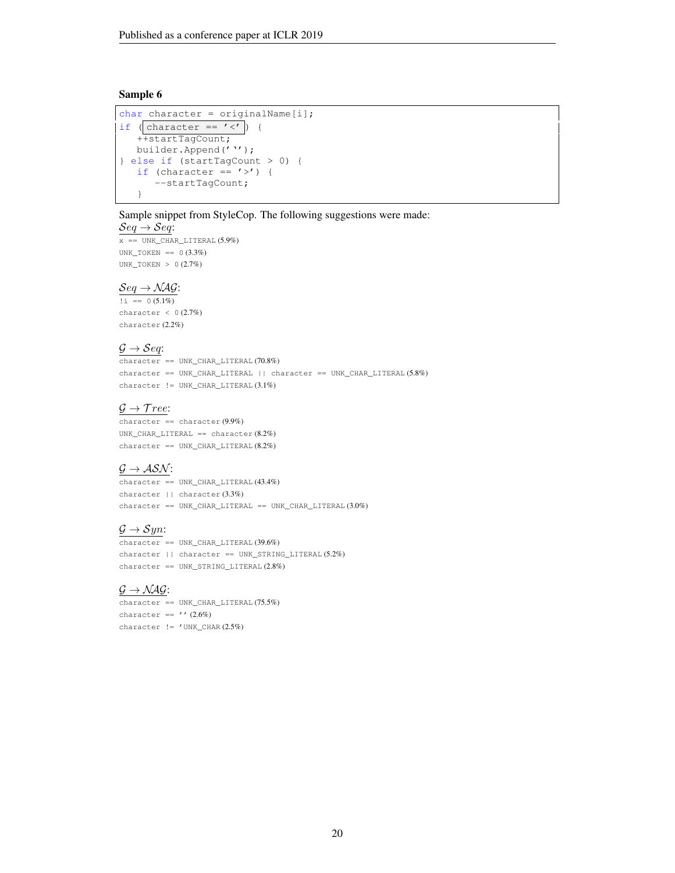```
char character = originalName[i];
if ( character == \prime <\prime ) {
   ++startTagCount;
   builder.Append(''');
} else if (startTagCount > 0) {
   if (character == \prime>') {
      --startTagCount;
   }
```
Sample snippet from StyleCop. The following suggestions were made:

#### $\mathcal{S}eq \rightarrow \mathcal{S}eq$ :

 $x$  == UNK\_CHAR\_LITERAL  $(5.9\%)$ UNK\_TOKEN ==  $0$  (3.3%) UNK\_TOKEN > 0 (2.7%)

#### $Seq \rightarrow NAG$ :

 $\overline{1} = 0$  (5.1%) character  $< 0$  (2.7%) character (2.2%)

## $\mathcal{G} \rightarrow \mathcal{S}eq$ :

character == UNK\_CHAR\_LITERAL (70.8%) character == UNK\_CHAR\_LITERAL || character == UNK\_CHAR\_LITERAL (5.8%) character != UNK\_CHAR\_LITERAL (3.1%)

## $\mathcal{G} \rightarrow \mathcal{T}ree$ :

character == character (9.9%) UNK\_CHAR\_LITERAL == character  $(8.2\%)$  $character == UNK_CHAR_LITERAL (8.2%)$ 

## $G \rightarrow ASN$ :

character == UNK\_CHAR\_LITERAL (43.4%) character || character (3.3%) character == UNK\_CHAR\_LITERAL == UNK\_CHAR\_LITERAL (3.0%)

# $\mathcal{G} \rightarrow \mathcal{S}$ *yn*:

 $\overline{\text{character}}$  == UNK\_CHAR\_LITERAL (39.6%) character || character == UNK\_STRING\_LITERAL (5.2%) character == UNK\_STRING\_LITERAL (2.8%)

## $\mathcal{G} \rightarrow \mathcal{NAG}$ :

 $character == UNK_CHAR_LITERAL (75.5%)$ character ==  $'$  ' (2.6%) character  $!=$  'UNK CHAR  $(2.5%)$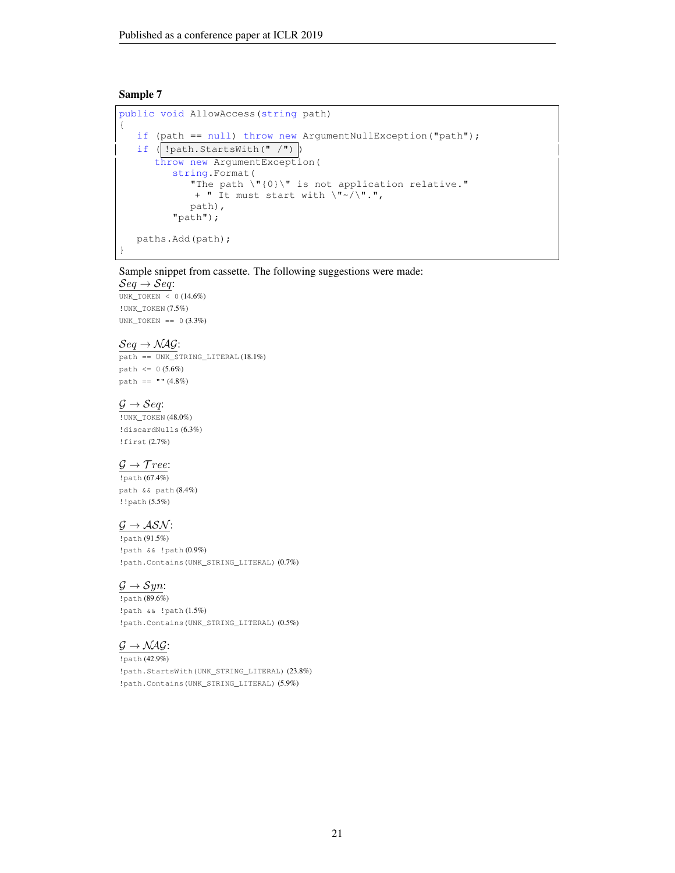```
public void AllowAccess(string path)
{
   if (path == null) throw new ArgumentNullException("path");
   if (|!path.startsWith(" '")|)throw new ArgumentException(
         string.Format(
            "The path \"{0}\" is not application relative."
            + " It must start with \"~/\".",
           path),
         "path");
  paths.Add(path);
}
```
# Sample snippet from cassette. The following suggestions were made:

 $\mathcal{S}eq \rightarrow \mathcal{S}eq$ :  $\overline{\text{UNK\_TOKEN}}$  < 0 (14.6%) !UNK\_TOKEN (7.5%) UNK\_TOKEN ==  $0 (3.3%)$ 

# $\mathcal{S}eq \rightarrow \mathcal{N} \mathcal{A} \mathcal{G}$ :

path == UNK\_STRING\_LITERAL (18.1%)  $path \le 0 (5.6\%)$ path ==  $" " (4.8%)$ 

#### $\mathcal{G} \rightarrow \mathcal{S}eq$ :

!UNK\_TOKEN (48.0%) !discardNulls (6.3%) !first (2.7%)

## $\mathcal{G} \rightarrow \mathcal{T}ree$ :

!path (67.4%) path && path (8.4%) !!path (5.5%)

# $\underline{\mathcal{G}} \rightarrow \mathcal{ASN}$ :

!path (91.5%) !path && !path (0.9%) !path.Contains(UNK\_STRING\_LITERAL) (0.7%)

## $\mathcal{G} \rightarrow \mathcal{S}yn$ :

!path (89.6%) !path && !path (1.5%) !path.Contains(UNK\_STRING\_LITERAL) (0.5%)

# $\mathcal{G} \rightarrow \mathcal{NAG}$ :

!path (42.9%) !path.StartsWith(UNK\_STRING\_LITERAL) (23.8%) !path.Contains(UNK\_STRING\_LITERAL) (5.9%)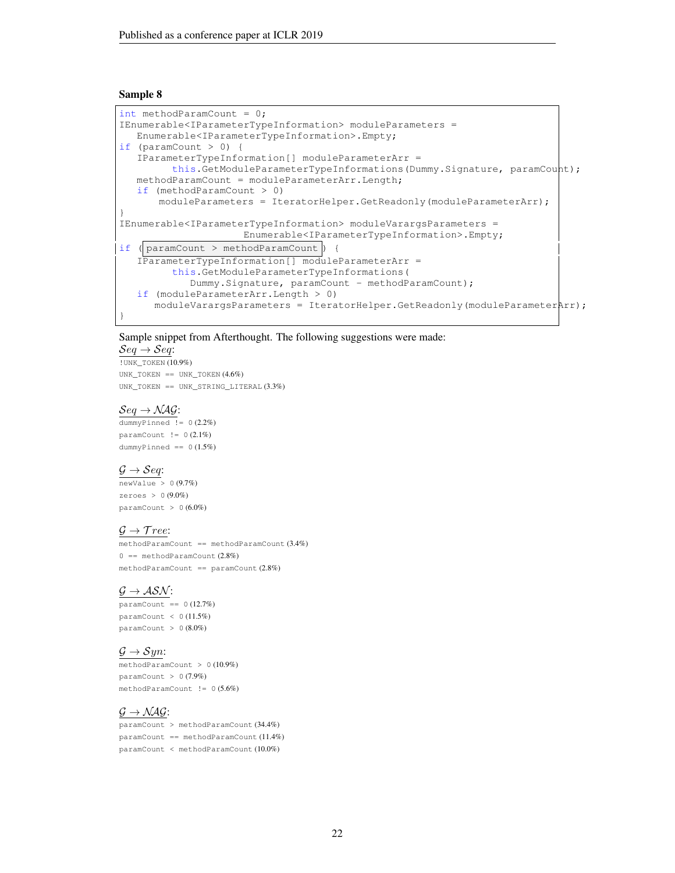```
int methodParamCount = 0;
IEnumerable<IParameterTypeInformation> moduleParameters =
  Enumerable<IParameterTypeInformation>.Empty;
if (paramCount > 0) {
  IParameterTypeInformation[] moduleParameterArr =
         this.GetModuleParameterTypeInformations(Dummy.Signature, paramCount);
  methodParamCount = moduleParameterArr.Length;
  if (methodParamCount > 0)
      moduleParameters = IteratorHelper.GetReadonly(moduleParameterArr);
}
IEnumerable<IParameterTypeInformation> moduleVarargsParameters =
                     Enumerable<IParameterTypeInformation>.Empty;
if (| paramCount > methodParamCount | {
   IParameterTypeInformation[] moduleParameterArr =
         this.GetModuleParameterTypeInformations(
            Dummy.Signature, paramCount - methodParamCount);
   if (moduleParameterArr.Length > 0)
     moduleVarargsParameters = IteratorHelper.GetReadonly(moduleParameterArr);
}
```
#### Sample snippet from Afterthought. The following suggestions were made:

## $\mathcal{S}eq \rightarrow \mathcal{S}eq$ :

!UNK\_TOKEN (10.9%) UNK\_TOKEN == UNK\_TOKEN (4.6%) UNK\_TOKEN == UNK\_STRING\_LITERAL (3.3%)

#### $Seq \rightarrow NAG$ :

dummyPinned != 0 (2.2%) paramCount  $!= 0 (2.1\%)$  $d$ ummyPinned ==  $0(1.5%)$ 

## $\mathcal{G} \rightarrow \mathcal{S}eq:$

 $newValue > 0$  (9.7%) zeroes >  $0(9.0\%)$  $paramCount > 0 (6.0%)$ 

#### $\mathcal{G} \rightarrow \mathcal{T}ree$ :

methodParamCount == methodParamCount (3.4%)  $0 =$  methodParamCount  $(2.8\%)$  $methodParamCount == *paramCount* (2.8%)$ 

## $\mathcal{G} \rightarrow \mathcal{ASN}$ :

 $paramCount == 0 (12.7%)$  $paramCount < 0$  (11.5%) paramCount > 0 (8.0%)

#### $\mathcal{G} \rightarrow \mathcal{S}yn$ :

methodParamCount > 0 (10.9%)  $paramCount > 0$  (7.9%) methodParamCount != 0 (5.6%)

# $G \rightarrow \mathcal{NAG}$ :

paramCount > methodParamCount (34.4%) paramCount == methodParamCount (11.4%) paramCount < methodParamCount (10.0%)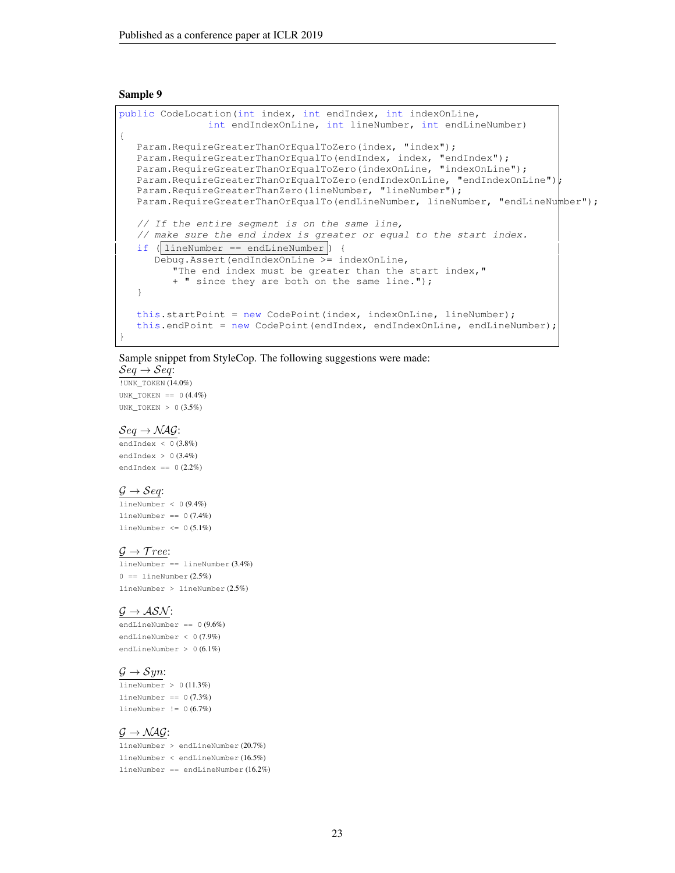```
public CodeLocation(int index, int endIndex, int indexOnLine,
               int endIndexOnLine, int lineNumber, int endLineNumber)
{
  Param.RequireGreaterThanOrEqualToZero(index, "index");
   Param.RequireGreaterThanOrEqualTo(endIndex, index, "endIndex");
   Param.RequireGreaterThanOrEqualToZero(indexOnLine, "indexOnLine");
  Param.RequireGreaterThanOrEqualToZero(endIndexOnLine, "endIndexOnLine");
  Param.RequireGreaterThanZero(lineNumber, "lineNumber");
  Param.RequireGreaterThanOrEqualTo(endLineNumber, lineNumber, "endLineNumber");
  // If the entire segment is on the same line,
  // make sure the end index is greater or equal to the start index.
  if ( lineNumber == endLineNumber ) {
     Debug.Assert(endIndexOnLine >= indexOnLine,
         "The end index must be greater than the start index, "
         + " since they are both on the same line.");
  }
  this.startPoint = new CodePoint(index, indexOnLine, lineNumber);
  this.endPoint = new CodePoint(endIndex, endIndexOnLine, endLineNumber);
}
```
Sample snippet from StyleCop. The following suggestions were made:

 $\mathcal{S}eq \rightarrow \mathcal{S}eq$ : !UNK\_TOKEN (14.0%)

UNK\_TOKEN ==  $0(4.4\%)$ UNK\_TOKEN > 0 (3.5%)

#### $Seq \rightarrow NAG$ :

endIndex < 0 (3.8%) endIndex  $> 0$  (3.4%) endIndex ==  $0(2.2%)$ 

#### $\mathcal{G} \rightarrow \mathcal{S}eq:$

lineNumber < 0 (9.4%) lineNumber ==  $0(7.4%)$ lineNumber  $\leq 0$  (5.1%)

#### $\mathcal{G} \rightarrow \mathcal{T}$ ree:

lineNumber == lineNumber (3.4%)  $0 == 1$ ineNumber  $(2.5\%)$ lineNumber > lineNumber (2.5%)

#### $\mathcal{G} \rightarrow \mathcal{ASN}$ :

endLineNumber == 0 (9.6%) endLineNumber < 0 (7.9%) endLineNumber > 0 (6.1%)

# $\mathcal{G} \rightarrow \mathcal{S}yn$ :

 $lineNumber > 0 (11.3%)$  $lineNumber = 0 (7.3%)$  $lineNumber := 0 (6.7%)$ 

## $\mathcal{G} \rightarrow \mathcal{NAG}$ :

lineNumber > endLineNumber (20.7%) lineNumber < endLineNumber (16.5%) lineNumber == endLineNumber (16.2%)